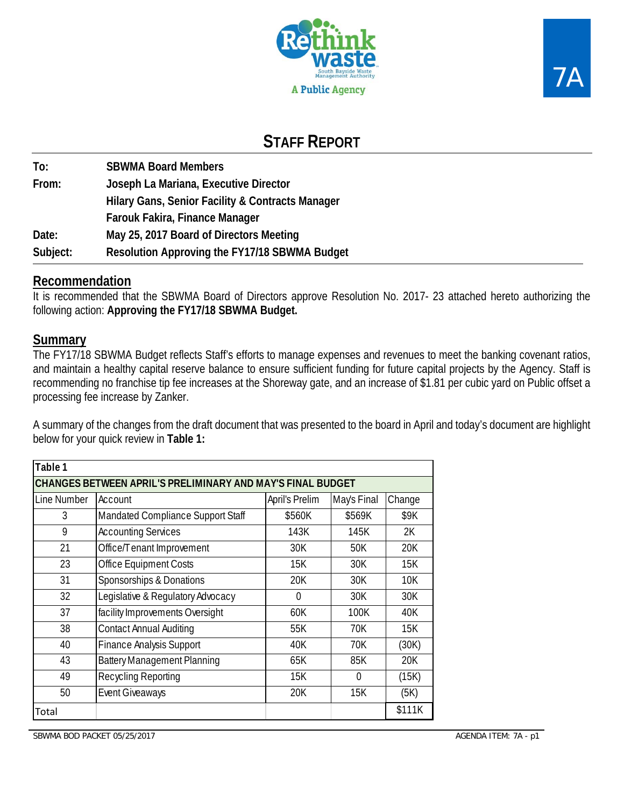

# **STAFF REPORT**

**To: SBWMA Board Members From: Joseph La Mariana, Executive Director Hilary Gans, Senior Facility & Contracts Manager Farouk Fakira, Finance Manager Date: May 25, 2017 Board of Directors Meeting Subject: Resolution Approving the FY17/18 SBWMA Budget** 

## **Recommendation**

It is recommended that the SBWMA Board of Directors approve Resolution No. 2017- 23 attached hereto authorizing the following action: **Approving the FY17/18 SBWMA Budget.** 

# **Summary**

The FY17/18 SBWMA Budget reflects Staff's efforts to manage expenses and revenues to meet the banking covenant ratios, and maintain a healthy capital reserve balance to ensure sufficient funding for future capital projects by the Agency. Staff is recommending no franchise tip fee increases at the Shoreway gate, and an increase of \$1.81 per cubic yard on Public offset a processing fee increase by Zanker.

A summary of the changes from the draft document that was presented to the board in April and today's document are highlight below for your quick review in **Table 1:**

| Table 1                                                           |                                    |        |        |        |  |  |  |  |  |  |  |
|-------------------------------------------------------------------|------------------------------------|--------|--------|--------|--|--|--|--|--|--|--|
| CHANGES BETWEEN APRIL'S PRELIMINARY AND MAY'S FINAL BUDGET        |                                    |        |        |        |  |  |  |  |  |  |  |
| Line Number<br>April's Prelim<br>May's Final<br>Account<br>Change |                                    |        |        |        |  |  |  |  |  |  |  |
| 3                                                                 | Mandated Compliance Support Staff  | \$560K | \$569K | \$9K   |  |  |  |  |  |  |  |
| 9                                                                 | <b>Accounting Services</b>         | 143K   | 145K   | 2K     |  |  |  |  |  |  |  |
| 21                                                                | Office/Tenant Improvement          | 30K    | 50K    | 20K    |  |  |  |  |  |  |  |
| 23                                                                | Office Equipment Costs             | 15K    | 30K    | 15K    |  |  |  |  |  |  |  |
| 31                                                                | Sponsorships & Donations           | 20K    | 30K    | 10K    |  |  |  |  |  |  |  |
| 32                                                                | Legislative & Regulatory Advocacy  | 0      | 30K    | 30K    |  |  |  |  |  |  |  |
| 37                                                                | facility Improvements Oversight    | 60K    | 100K   | 40K    |  |  |  |  |  |  |  |
| 38                                                                | <b>Contact Annual Auditing</b>     | 55K    | 70K    | 15K    |  |  |  |  |  |  |  |
| 40                                                                | Finance Analysis Support           | 40K    | 70K    | (30K)  |  |  |  |  |  |  |  |
| 43                                                                | <b>Battery Management Planning</b> | 65K    | 85K    | 20K    |  |  |  |  |  |  |  |
| Recycling Reporting<br>49<br>15K<br>(15K)<br>$\Omega$             |                                    |        |        |        |  |  |  |  |  |  |  |
| 50                                                                | <b>Event Giveaways</b>             | 20K    | 15K    | (5K)   |  |  |  |  |  |  |  |
| Total                                                             |                                    |        |        | \$111K |  |  |  |  |  |  |  |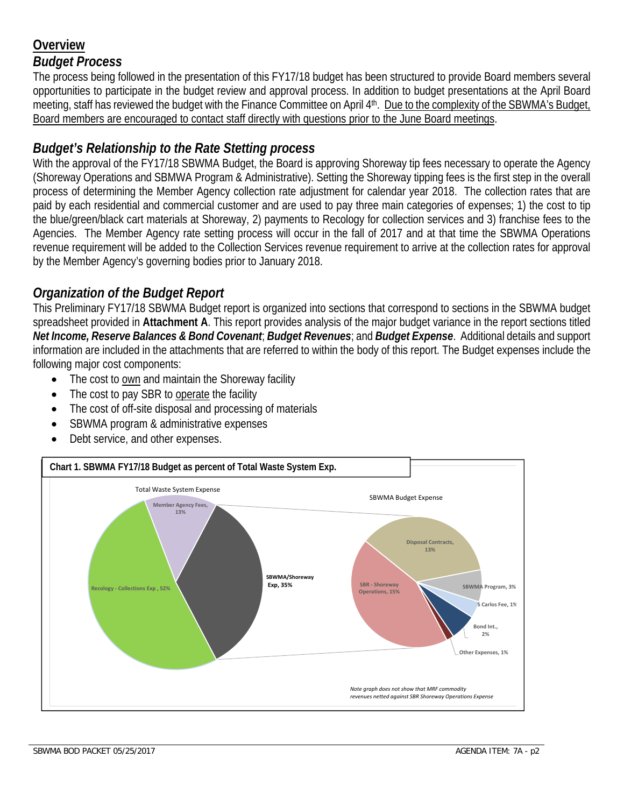# **Overview**  *Budget Process*

The process being followed in the presentation of this FY17/18 budget has been structured to provide Board members several opportunities to participate in the budget review and approval process. In addition to budget presentations at the April Board meeting, staff has reviewed the budget with the Finance Committee on April 4th. Due to the complexity of the SBWMA's Budget, Board members are encouraged to contact staff directly with questions prior to the June Board meetings.

# *Budget's Relationship to the Rate Stetting process*

With the approval of the FY17/18 SBWMA Budget, the Board is approving Shoreway tip fees necessary to operate the Agency (Shoreway Operations and SBMWA Program & Administrative). Setting the Shoreway tipping fees is the first step in the overall process of determining the Member Agency collection rate adjustment for calendar year 2018. The collection rates that are paid by each residential and commercial customer and are used to pay three main categories of expenses; 1) the cost to tip the blue/green/black cart materials at Shoreway, 2) payments to Recology for collection services and 3) franchise fees to the Agencies. The Member Agency rate setting process will occur in the fall of 2017 and at that time the SBWMA Operations revenue requirement will be added to the Collection Services revenue requirement to arrive at the collection rates for approval by the Member Agency's governing bodies prior to January 2018.

# *Organization of the Budget Report*

This Preliminary FY17/18 SBWMA Budget report is organized into sections that correspond to sections in the SBWMA budget spreadsheet provided in **Attachment A**. This report provides analysis of the major budget variance in the report sections titled *Net Income, Reserve Balances & Bond Covenant*; *Budget Revenues*; and *Budget Expense*. Additional details and support information are included in the attachments that are referred to within the body of this report. The Budget expenses include the following major cost components:

- The cost to own and maintain the Shoreway facility
- The cost to pay SBR to operate the facility
- The cost of off-site disposal and processing of materials
- SBWMA program & administrative expenses
- Debt service, and other expenses.

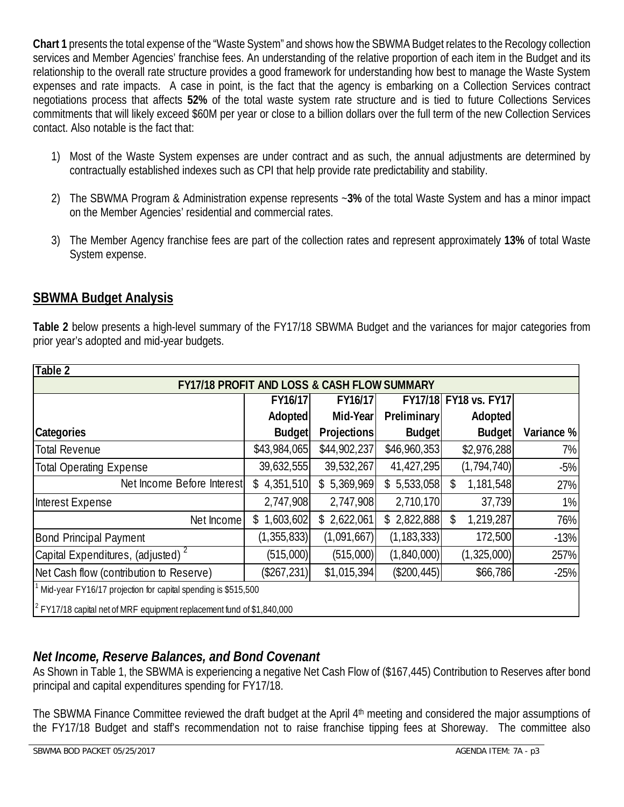**Chart 1** presents the total expense of the "Waste System" and shows how the SBWMA Budget relates to the Recology collection services and Member Agencies' franchise fees. An understanding of the relative proportion of each item in the Budget and its relationship to the overall rate structure provides a good framework for understanding how best to manage the Waste System expenses and rate impacts. A case in point, is the fact that the agency is embarking on a Collection Services contract negotiations process that affects **52%** of the total waste system rate structure and is tied to future Collections Services commitments that will likely exceed \$60M per year or close to a billion dollars over the full term of the new Collection Services contact. Also notable is the fact that:

- 1) Most of the Waste System expenses are under contract and as such, the annual adjustments are determined by contractually established indexes such as CPI that help provide rate predictability and stability.
- 2) The SBWMA Program & Administration expense represents ~**3%** of the total Waste System and has a minor impact on the Member Agencies' residential and commercial rates.
- 3) The Member Agency franchise fees are part of the collection rates and represent approximately **13%** of total Waste System expense.

# **SBWMA Budget Analysis**

**Table 2** below presents a high-level summary of the FY17/18 SBWMA Budget and the variances for major categories from prior year's adopted and mid-year budgets.

| Table 2                                                                   |                                             |              |                    |                 |            |  |  |  |  |  |
|---------------------------------------------------------------------------|---------------------------------------------|--------------|--------------------|-----------------|------------|--|--|--|--|--|
| <b>FY17/18 PROFIT AND LOSS &amp; CASH FLOW SUMMARY</b>                    |                                             |              |                    |                 |            |  |  |  |  |  |
|                                                                           | FY17/18 FY18 vs. FY17<br>FY16/17<br>FY16/17 |              |                    |                 |            |  |  |  |  |  |
|                                                                           | Adopted                                     | Mid-Year     | <b>Preliminary</b> | Adopted         |            |  |  |  |  |  |
| Categories                                                                | <b>Budget</b>                               | Projections  | Budget             | Budget          | Variance % |  |  |  |  |  |
| <b>Total Revenue</b>                                                      | \$43,984,065                                | \$44,902,237 | \$46,960,353       | \$2,976,288     | 7%         |  |  |  |  |  |
| <b>Total Operating Expense</b>                                            | 39,632,555                                  | 39,532,267   | 41,427,295         | (1, 794, 740)   | $-5%$      |  |  |  |  |  |
| Net Income Before Interest                                                | \$4,351,510                                 | \$5,369,969  | \$5,533,058        | 1,181,548<br>\$ | 27%        |  |  |  |  |  |
| Interest Expense                                                          | 2,747,908                                   | 2,747,908    | 2,710,170          | 37,739          | 1%         |  |  |  |  |  |
| Net Income                                                                | \$1,603,602                                 | \$2,622,061  | \$2,822,888        | \$<br>1,219,287 | 76%        |  |  |  |  |  |
| <b>Bond Principal Payment</b>                                             | (1, 355, 833)                               | (1,091,667)  | (1, 183, 333)      | 172,500         | $-13%$     |  |  |  |  |  |
| Capital Expenditures, (adjusted) <sup>2</sup>                             | (515,000)                                   | (515,000)    | (1,840,000)        | (1,325,000)     | 257%       |  |  |  |  |  |
| Net Cash flow (contribution to Reserve)                                   | (\$267,231)                                 | \$1,015,394  | (\$200, 445)       | \$66,786        | $-25%$     |  |  |  |  |  |
| Mid-year FY16/17 projection for capital spending is \$515,500             |                                             |              |                    |                 |            |  |  |  |  |  |
| $^2$ FY17/18 capital net of MRF equipment replacement fund of \$1,840,000 |                                             |              |                    |                 |            |  |  |  |  |  |

# *Net Income, Reserve Balances, and Bond Covenant*

As Shown in Table 1, the SBWMA is experiencing a negative Net Cash Flow of (\$167,445) Contribution to Reserves after bond principal and capital expenditures spending for FY17/18.

The SBWMA Finance Committee reviewed the draft budget at the April 4<sup>th</sup> meeting and considered the major assumptions of the FY17/18 Budget and staff's recommendation not to raise franchise tipping fees at Shoreway. The committee also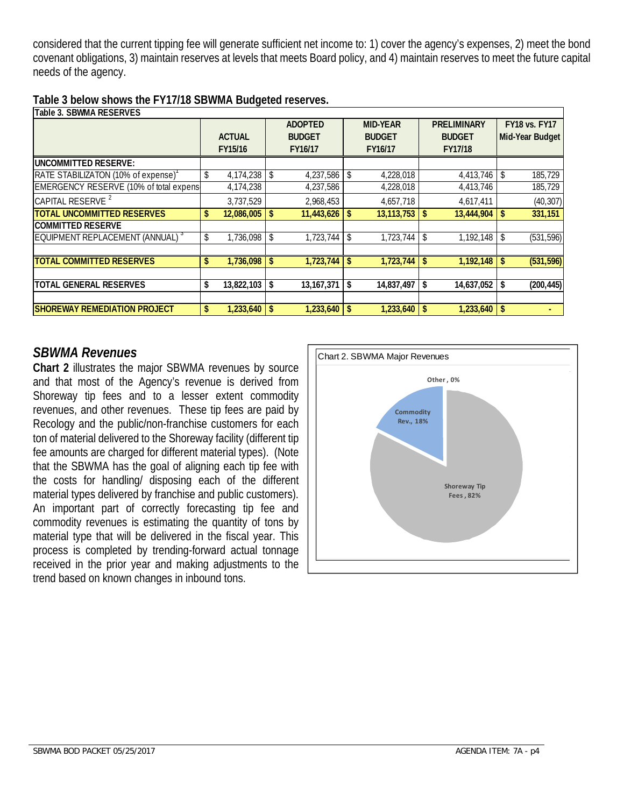considered that the current tipping fee will generate sufficient net income to: 1) cover the agency's expenses, 2) meet the bond covenant obligations, 3) maintain reserves at levels that meets Board policy, and 4) maintain reserves to meet the future capital needs of the agency.

| Table 3. SBWMA RESERVES                        |                         |                |                  |    |                    |     |                      |
|------------------------------------------------|-------------------------|----------------|------------------|----|--------------------|-----|----------------------|
|                                                |                         | <b>ADOPTED</b> | <b>MID-YEAR</b>  |    | <b>PRELIMINARY</b> |     | <b>FY18 vs. FY17</b> |
|                                                | <b>ACTUAL</b>           | <b>BUDGET</b>  | <b>BUDGET</b>    |    | <b>BUDGET</b>      |     | Mid-Year Budget      |
|                                                | FY15/16                 | FY16/17        | FY16/17          |    | FY17/18            |     |                      |
| <b>UNCOMMITTED RESERVE:</b>                    |                         |                |                  |    |                    |     |                      |
| RATE STABILIZATON (10% of expense)             | \$<br>4,174,238         | 4,237,586      | 4,228,018        |    | 4,413,746          | \$  | 185,729              |
| <b>EMERGENCY RESERVE (10% of total expens)</b> | 4,174,238               | 4,237,586      | 4,228,018        |    | 4,413,746          |     | 185,729              |
| CAPITAL RESERVE <sup>2</sup>                   | 3,737,529               | 2,968,453      | 4,657,718        |    | 4,617,411          |     | (40, 307)            |
| <b>TOTAL UNCOMMITTED RESERVES</b>              | \$<br>$12,086,005$   \$ | 11,443,626     | 13, 113, 753     | -S | 13,444,904         | \$  | 331,151              |
| <b>COMMITTED RESERVE</b>                       |                         |                |                  |    |                    |     |                      |
| EQUIPMENT REPLACEMENT (ANNUAL) <sup>3</sup>    | \$<br>$1,736,098$ \$    | 1,723,744      | 1,723,744        | \$ | 1,192,148          |     | (531, 596)           |
|                                                |                         |                |                  |    |                    |     |                      |
| <b>TOTAL COMMITTED RESERVES</b>                | \$<br>$1,736,098$ \$    | 1,723,744      | 1,723,744        | -S | 1,192,148          |     | (531, 596)           |
|                                                |                         |                |                  |    |                    |     |                      |
| <b>TOTAL GENERAL RESERVES</b>                  | \$<br>$13,822,103$ \$   | 13, 167, 371   | \$<br>14,837,497 | \$ | 14,637,052         | \$  | (200, 445)           |
|                                                |                         |                |                  |    |                    |     |                      |
| <b>ISHOREWAY REMEDIATION PROJECT</b>           | \$<br>$1.233.640$ \ \$  | 1,233,640      | 1,233,640        | -S | 1.233.640          | -\$ |                      |

## *SBWMA Revenues*

**Chart 2** illustrates the major SBWMA revenues by source and that most of the Agency's revenue is derived from Shoreway tip fees and to a lesser extent commodity revenues, and other revenues. These tip fees are paid by Recology and the public/non-franchise customers for each ton of material delivered to the Shoreway facility (different tip fee amounts are charged for different material types). (Note that the SBWMA has the goal of aligning each tip fee with the costs for handling/ disposing each of the different material types delivered by franchise and public customers). An important part of correctly forecasting tip fee and commodity revenues is estimating the quantity of tons by material type that will be delivered in the fiscal year. This process is completed by trending-forward actual tonnage received in the prior year and making adjustments to the trend based on known changes in inbound tons.

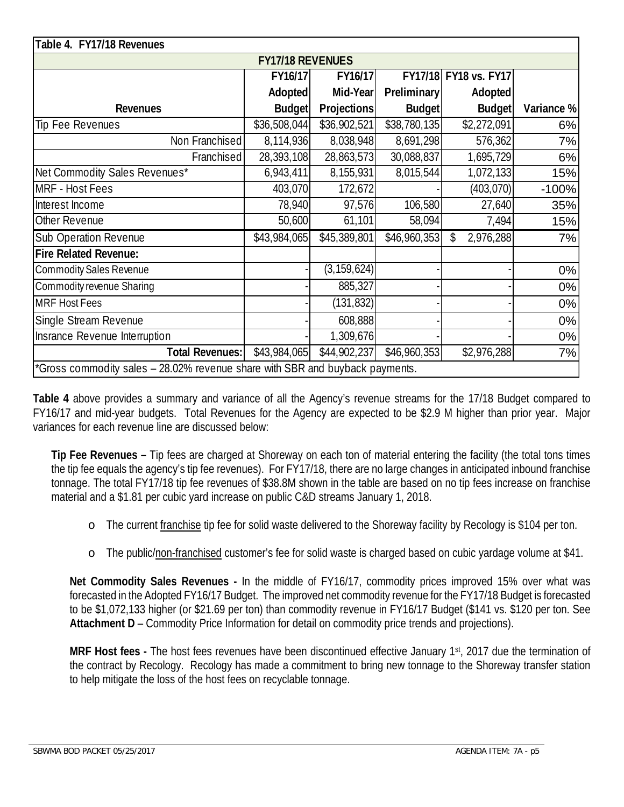| Table 4. FY17/18 Revenues                                                    |               |               |                    |                       |            |  |  |  |  |  |
|------------------------------------------------------------------------------|---------------|---------------|--------------------|-----------------------|------------|--|--|--|--|--|
| <b>FY17/18 REVENUES</b>                                                      |               |               |                    |                       |            |  |  |  |  |  |
|                                                                              | FY16/17       | FY16/17       |                    | FY17/18 FY18 vs. FY17 |            |  |  |  |  |  |
|                                                                              | Adopted       | Mid-Year      | <b>Preliminary</b> | Adopted               |            |  |  |  |  |  |
| <b>Revenues</b>                                                              | <b>Budget</b> | Projections   | <b>Budget</b>      | <b>Budget</b>         | Variance % |  |  |  |  |  |
| Tip Fee Revenues                                                             | \$36,508,044  | \$36,902,521  | \$38,780,135       | \$2,272,091           | 6%         |  |  |  |  |  |
| Non Franchised                                                               | 8,114,936     | 8,038,948     | 8,691,298          | 576,362               | 7%         |  |  |  |  |  |
| Franchised                                                                   | 28,393,108    | 28,863,573    | 30,088,837         | 1,695,729             | 6%         |  |  |  |  |  |
| Net Commodity Sales Revenues*                                                | 6,943,411     | 8,155,931     | 8,015,544          | 1,072,133             | 15%        |  |  |  |  |  |
| <b>MRF - Host Fees</b>                                                       | 403,070       | 172,672       |                    | (403, 070)            | $-100%$    |  |  |  |  |  |
| Interest Income                                                              | 78,940        | 97,576        | 106,580            | 27,640                | 35%        |  |  |  |  |  |
| Other Revenue                                                                | 50,600        | 61,101        | 58,094             | 7,494                 | 15%        |  |  |  |  |  |
| <b>Sub Operation Revenue</b>                                                 | \$43,984,065  | \$45,389,801  | \$46,960,353       | \$<br>2,976,288       | 7%         |  |  |  |  |  |
| <b>Fire Related Revenue:</b>                                                 |               |               |                    |                       |            |  |  |  |  |  |
| <b>Commodity Sales Revenue</b>                                               |               | (3, 159, 624) |                    |                       | 0%         |  |  |  |  |  |
| Commodity revenue Sharing                                                    |               | 885,327       |                    |                       | $0\%$      |  |  |  |  |  |
| <b>MRF Host Fees</b>                                                         |               | (131, 832)    |                    |                       | $0\%$      |  |  |  |  |  |
| Single Stream Revenue                                                        |               | 608,888       |                    |                       | 0%         |  |  |  |  |  |
| Insrance Revenue Interruption                                                |               | 1,309,676     |                    |                       | $0\%$      |  |  |  |  |  |
| <b>Total Revenues:</b>                                                       | \$43,984,065  | \$44,902,237  | \$46,960,353       | \$2,976,288           | 7%         |  |  |  |  |  |
| *Gross commodity sales - 28.02% revenue share with SBR and buyback payments. |               |               |                    |                       |            |  |  |  |  |  |

**Table 4** above provides a summary and variance of all the Agency's revenue streams for the 17/18 Budget compared to FY16/17 and mid-year budgets. Total Revenues for the Agency are expected to be \$2.9 M higher than prior year. Major variances for each revenue line are discussed below:

**Tip Fee Revenues –** Tip fees are charged at Shoreway on each ton of material entering the facility (the total tons times the tip fee equals the agency's tip fee revenues). For FY17/18, there are no large changes in anticipated inbound franchise tonnage. The total FY17/18 tip fee revenues of \$38.8M shown in the table are based on no tip fees increase on franchise material and a \$1.81 per cubic yard increase on public C&D streams January 1, 2018.

- o The current franchise tip fee for solid waste delivered to the Shoreway facility by Recology is \$104 per ton.
- o The public/non-franchised customer's fee for solid waste is charged based on cubic yardage volume at \$41.

**Net Commodity Sales Revenues -** In the middle of FY16/17, commodity prices improved 15% over what was forecasted in the Adopted FY16/17 Budget. The improved net commodity revenue for the FY17/18 Budget is forecasted to be \$1,072,133 higher (or \$21.69 per ton) than commodity revenue in FY16/17 Budget (\$141 vs. \$120 per ton. See **Attachment D** – Commodity Price Information for detail on commodity price trends and projections).

**MRF Host fees -** The host fees revenues have been discontinued effective January 1st, 2017 due the termination of the contract by Recology. Recology has made a commitment to bring new tonnage to the Shoreway transfer station to help mitigate the loss of the host fees on recyclable tonnage.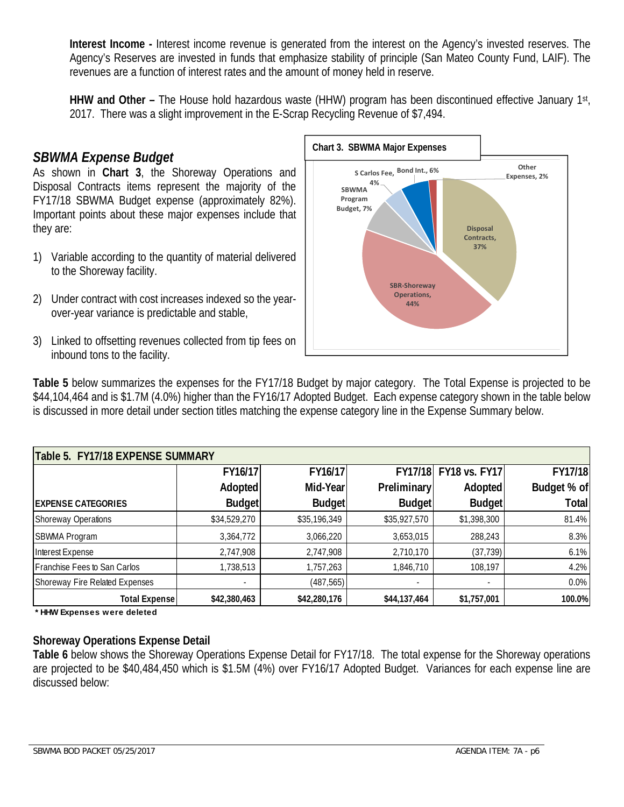**Interest Income -** Interest income revenue is generated from the interest on the Agency's invested reserves. The Agency's Reserves are invested in funds that emphasize stability of principle (San Mateo County Fund, LAIF). The revenues are a function of interest rates and the amount of money held in reserve.

**HHW and Other –** The House hold hazardous waste (HHW) program has been discontinued effective January 1st, 2017. There was a slight improvement in the E-Scrap Recycling Revenue of \$7,494.

# *SBWMA Expense Budget*

As shown in **Chart 3**, the Shoreway Operations and Disposal Contracts items represent the majority of the FY17/18 SBWMA Budget expense (approximately 82%). Important points about these major expenses include that they are:

- 1) Variable according to the quantity of material delivered to the Shoreway facility.
- 2) Under contract with cost increases indexed so the yearover-year variance is predictable and stable,
- 3) Linked to offsetting revenues collected from tip fees on inbound tons to the facility.



**Table 5** below summarizes the expenses for the FY17/18 Budget by major category. The Total Expense is projected to be \$44,104,464 and is \$1.7M (4.0%) higher than the FY16/17 Adopted Budget. Each expense category shown in the table below is discussed in more detail under section titles matching the expense category line in the Expense Summary below.

| Table 5. FY17/18 EXPENSE SUMMARY |               |               |                          |                       |             |  |  |  |  |  |  |
|----------------------------------|---------------|---------------|--------------------------|-----------------------|-------------|--|--|--|--|--|--|
|                                  | FY16/17       | FY16/17       |                          | FY17/18 FY18 vs. FY17 | FY17/18     |  |  |  |  |  |  |
|                                  | Adopted       | Mid-Year      | <b>Preliminary</b>       | <b>Adopted</b>        | Budget % of |  |  |  |  |  |  |
| <b>EXPENSE CATEGORIES</b>        | <b>Budget</b> | <b>Budget</b> | <b>Budget</b>            | <b>Budget</b>         | Total       |  |  |  |  |  |  |
| Shoreway Operations              | \$34,529,270  | \$35,196,349  | \$35,927,570             | \$1,398,300           | 81.4%       |  |  |  |  |  |  |
| SBWMA Program                    | 3,364,772     | 3,066,220     | 3,653,015                | 288,243               | 8.3%        |  |  |  |  |  |  |
| Interest Expense                 | 2,747,908     | 2,747,908     | 2,710,170                | (37, 739)             | 6.1%        |  |  |  |  |  |  |
| Franchise Fees to San Carlos     | 1,738,513     | 1,757,263     | 1,846,710                | 108,197               | 4.2%        |  |  |  |  |  |  |
| Shoreway Fire Related Expenses   | ۰.            | (487, 565)    | $\overline{\phantom{a}}$ | ٠                     | 0.0%        |  |  |  |  |  |  |
| <b>Total Expense</b>             | \$42,380,463  | \$42,280,176  | \$44,137,464             | \$1,757,001           | 100.0%      |  |  |  |  |  |  |

**\* HHW Expenses were deleted**

## **Shoreway Operations Expense Detail**

**Table 6** below shows the Shoreway Operations Expense Detail for FY17/18. The total expense for the Shoreway operations are projected to be \$40,484,450 which is \$1.5M (4%) over FY16/17 Adopted Budget. Variances for each expense line are discussed below: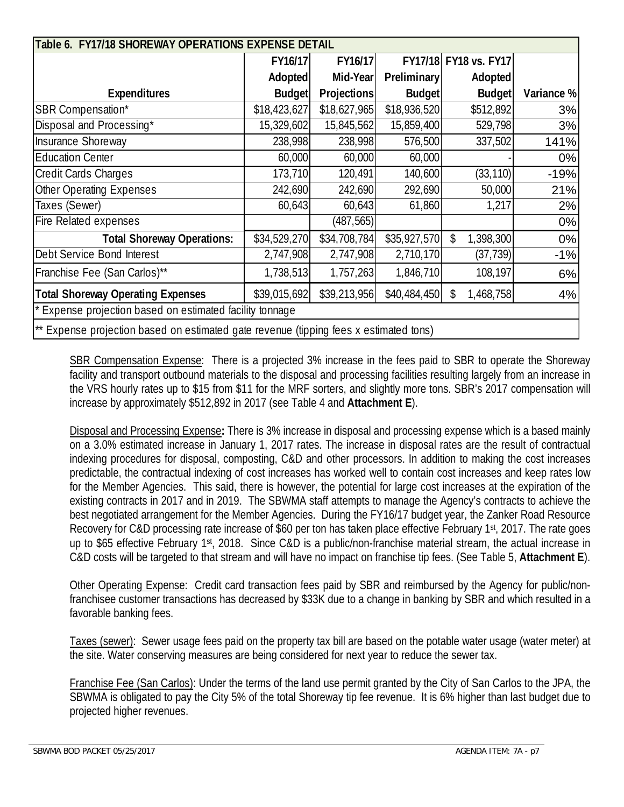|                                                                                                                   | Table 6. FY17/18 SHOREWAY OPERATIONS EXPENSE DETAIL |                |                    |                       |            |  |  |  |  |  |  |
|-------------------------------------------------------------------------------------------------------------------|-----------------------------------------------------|----------------|--------------------|-----------------------|------------|--|--|--|--|--|--|
|                                                                                                                   | FY16/17                                             | <b>FY16/17</b> |                    | FY17/18 FY18 vs. FY17 |            |  |  |  |  |  |  |
|                                                                                                                   | Adopted                                             | Mid-Year       | <b>Preliminary</b> | Adopted               |            |  |  |  |  |  |  |
| <b>Expenditures</b>                                                                                               | Budget                                              | Projections    | <b>Budget</b>      | Budget                | Variance % |  |  |  |  |  |  |
| <b>SBR Compensation*</b>                                                                                          | \$18,423,627                                        | \$18,627,965   | \$18,936,520       | \$512,892             | 3%         |  |  |  |  |  |  |
| Disposal and Processing*                                                                                          | 15,329,602                                          | 15,845,562     | 15,859,400         | 529,798               | 3%         |  |  |  |  |  |  |
| Insurance Shoreway                                                                                                | 238,998                                             | 238,998        | 576,500            | 337,502               | 141%       |  |  |  |  |  |  |
| <b>Education Center</b>                                                                                           | 60,000                                              | 60,000         | 60,000             |                       | 0%         |  |  |  |  |  |  |
| <b>Credit Cards Charges</b>                                                                                       | 173,710                                             | 120,491        | 140,600            | (33, 110)             | $-19%$     |  |  |  |  |  |  |
| <b>Other Operating Expenses</b>                                                                                   | 242,690                                             | 242,690        | 292,690            | 50,000                | 21%        |  |  |  |  |  |  |
| Taxes (Sewer)                                                                                                     | 60,643                                              | 60,643         | 61,860             | 1,217                 | 2%         |  |  |  |  |  |  |
| Fire Related expenses                                                                                             |                                                     | (487, 565)     |                    |                       | 0%         |  |  |  |  |  |  |
| <b>Total Shoreway Operations:</b>                                                                                 | \$34,529,270                                        | \$34,708,784   | \$35,927,570       | \$<br>1,398,300       | $0\%$      |  |  |  |  |  |  |
| Debt Service Bond Interest                                                                                        | 2,747,908                                           | 2,747,908      | 2,710,170          | (37, 739)             | $-1%$      |  |  |  |  |  |  |
| Franchise Fee (San Carlos)**                                                                                      | 1,738,513                                           | 1,757,263      | 1,846,710          | 108,197               | 6%         |  |  |  |  |  |  |
| \$39,015,692<br>\$39,213,956<br><b>Total Shoreway Operating Expenses</b><br>\$40,484,450<br>\$<br>1,468,758<br>4% |                                                     |                |                    |                       |            |  |  |  |  |  |  |
| Expense projection based on estimated facility tonnage                                                            |                                                     |                |                    |                       |            |  |  |  |  |  |  |
| ** Expense projection based on estimated gate revenue (tipping fees x estimated tons)                             |                                                     |                |                    |                       |            |  |  |  |  |  |  |

SBR Compensation Expense: There is a projected 3% increase in the fees paid to SBR to operate the Shoreway facility and transport outbound materials to the disposal and processing facilities resulting largely from an increase in the VRS hourly rates up to \$15 from \$11 for the MRF sorters, and slightly more tons. SBR's 2017 compensation will increase by approximately \$512,892 in 2017 (see Table 4 and **Attachment E**).

Disposal and Processing Expense**:** There is 3% increase in disposal and processing expense which is a based mainly on a 3.0% estimated increase in January 1, 2017 rates. The increase in disposal rates are the result of contractual indexing procedures for disposal, composting, C&D and other processors. In addition to making the cost increases predictable, the contractual indexing of cost increases has worked well to contain cost increases and keep rates low for the Member Agencies. This said, there is however, the potential for large cost increases at the expiration of the existing contracts in 2017 and in 2019. The SBWMA staff attempts to manage the Agency's contracts to achieve the best negotiated arrangement for the Member Agencies. During the FY16/17 budget year, the Zanker Road Resource Recovery for C&D processing rate increase of \$60 per ton has taken place effective February 1st, 2017. The rate goes up to \$65 effective February 1st, 2018. Since C&D is a public/non-franchise material stream, the actual increase in C&D costs will be targeted to that stream and will have no impact on franchise tip fees. (See Table 5, **Attachment E**).

Other Operating Expense: Credit card transaction fees paid by SBR and reimbursed by the Agency for public/nonfranchisee customer transactions has decreased by \$33K due to a change in banking by SBR and which resulted in a favorable banking fees.

Taxes (sewer): Sewer usage fees paid on the property tax bill are based on the potable water usage (water meter) at the site. Water conserving measures are being considered for next year to reduce the sewer tax.

Franchise Fee (San Carlos): Under the terms of the land use permit granted by the City of San Carlos to the JPA, the SBWMA is obligated to pay the City 5% of the total Shoreway tip fee revenue. It is 6% higher than last budget due to projected higher revenues.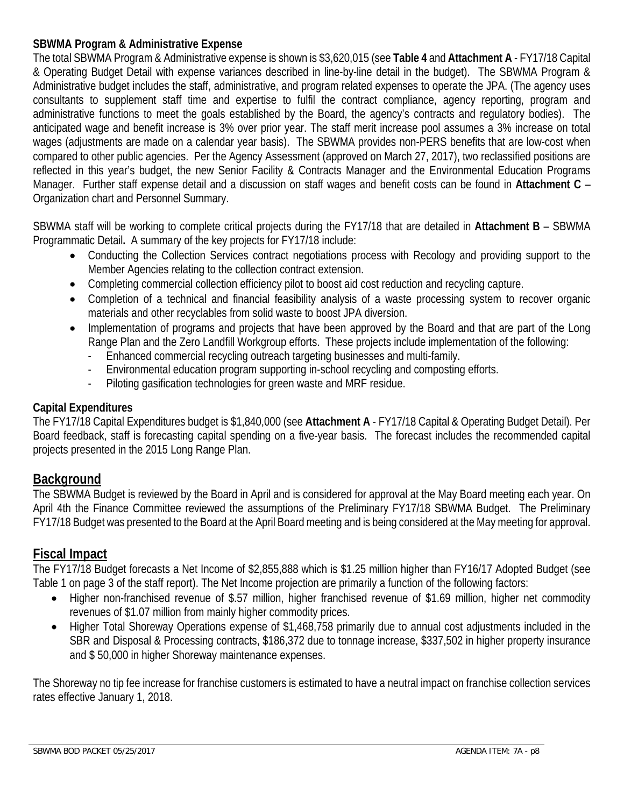## **SBWMA Program & Administrative Expense**

The total SBWMA Program & Administrative expense is shown is \$3,620,015 (see **Table 4** and **Attachment A** - FY17/18 Capital & Operating Budget Detail with expense variances described in line-by-line detail in the budget). The SBWMA Program & Administrative budget includes the staff, administrative, and program related expenses to operate the JPA. (The agency uses consultants to supplement staff time and expertise to fulfil the contract compliance, agency reporting, program and administrative functions to meet the goals established by the Board, the agency's contracts and regulatory bodies). The anticipated wage and benefit increase is 3% over prior year. The staff merit increase pool assumes a 3% increase on total wages (adjustments are made on a calendar year basis). The SBWMA provides non-PERS benefits that are low-cost when compared to other public agencies. Per the Agency Assessment (approved on March 27, 2017), two reclassified positions are reflected in this year's budget, the new Senior Facility & Contracts Manager and the Environmental Education Programs Manager. Further staff expense detail and a discussion on staff wages and benefit costs can be found in **Attachment C** – Organization chart and Personnel Summary.

SBWMA staff will be working to complete critical projects during the FY17/18 that are detailed in **Attachment B** – SBWMA Programmatic Detail**.** A summary of the key projects for FY17/18 include:

- Conducting the Collection Services contract negotiations process with Recology and providing support to the Member Agencies relating to the collection contract extension.
- Completing commercial collection efficiency pilot to boost aid cost reduction and recycling capture.
- Completion of a technical and financial feasibility analysis of a waste processing system to recover organic materials and other recyclables from solid waste to boost JPA diversion.
- Implementation of programs and projects that have been approved by the Board and that are part of the Long Range Plan and the Zero Landfill Workgroup efforts. These projects include implementation of the following:
	- Enhanced commercial recycling outreach targeting businesses and multi-family.
	- Environmental education program supporting in-school recycling and composting efforts.
	- Piloting gasification technologies for green waste and MRF residue.

## **Capital Expenditures**

The FY17/18 Capital Expenditures budget is \$1,840,000 (see **Attachment A** - FY17/18 Capital & Operating Budget Detail). Per Board feedback, staff is forecasting capital spending on a five-year basis. The forecast includes the recommended capital projects presented in the 2015 Long Range Plan.

## **Background**

The SBWMA Budget is reviewed by the Board in April and is considered for approval at the May Board meeting each year. On April 4th the Finance Committee reviewed the assumptions of the Preliminary FY17/18 SBWMA Budget. The Preliminary FY17/18 Budget was presented to the Board at the April Board meeting and is being considered at the May meeting for approval.

# **Fiscal Impact**

The FY17/18 Budget forecasts a Net Income of \$2,855,888 which is \$1.25 million higher than FY16/17 Adopted Budget (see Table 1 on page 3 of the staff report). The Net Income projection are primarily a function of the following factors:

- Higher non-franchised revenue of \$.57 million, higher franchised revenue of \$1.69 million, higher net commodity revenues of \$1.07 million from mainly higher commodity prices.
- Higher Total Shoreway Operations expense of \$1,468,758 primarily due to annual cost adjustments included in the SBR and Disposal & Processing contracts, \$186,372 due to tonnage increase, \$337,502 in higher property insurance and \$ 50,000 in higher Shoreway maintenance expenses.

The Shoreway no tip fee increase for franchise customers is estimated to have a neutral impact on franchise collection services rates effective January 1, 2018.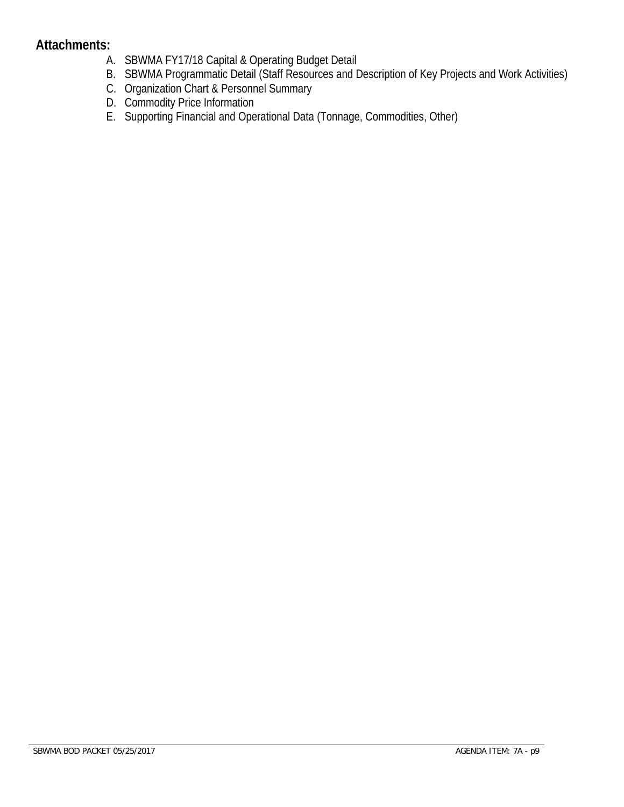## **Attachments:**

- A. SBWMA FY17/18 Capital & Operating Budget Detail
- B. SBWMA Programmatic Detail (Staff Resources and Description of Key Projects and Work Activities)
- C. Organization Chart & Personnel Summary
- D. Commodity Price Information
- E. Supporting Financial and Operational Data (Tonnage, Commodities, Other)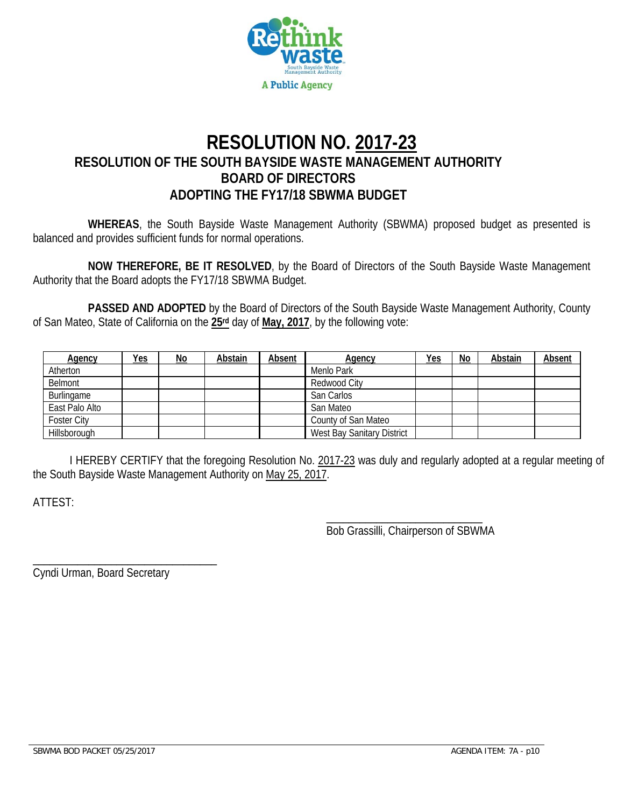

# **RESOLUTION NO. 2017-23 RESOLUTION OF THE SOUTH BAYSIDE WASTE MANAGEMENT AUTHORITY BOARD OF DIRECTORS ADOPTING THE FY17/18 SBWMA BUDGET**

**WHEREAS**, the South Bayside Waste Management Authority (SBWMA) proposed budget as presented is balanced and provides sufficient funds for normal operations.

**NOW THEREFORE, BE IT RESOLVED**, by the Board of Directors of the South Bayside Waste Management Authority that the Board adopts the FY17/18 SBWMA Budget.

 **PASSED AND ADOPTED** by the Board of Directors of the South Bayside Waste Management Authority, County of San Mateo, State of California on the **25rd** day of **May, 2017**, by the following vote:

| <b>Agency</b>      | <u>Yes</u> | <u>No</u> | Abstain | Absent | Agency                            | <b>Yes</b> | No | Abstain | <b>Absent</b> |
|--------------------|------------|-----------|---------|--------|-----------------------------------|------------|----|---------|---------------|
| Atherton           |            |           |         |        | Menlo Park                        |            |    |         |               |
| Belmont            |            |           |         |        | Redwood City                      |            |    |         |               |
| Burlingame         |            |           |         |        | San Carlos                        |            |    |         |               |
| East Palo Alto     |            |           |         |        | San Mateo                         |            |    |         |               |
| <b>Foster City</b> |            |           |         |        | County of San Mateo               |            |    |         |               |
| Hillsborough       |            |           |         |        | <b>West Bay Sanitary District</b> |            |    |         |               |

 I HEREBY CERTIFY that the foregoing Resolution No. 2017-23 was duly and regularly adopted at a regular meeting of the South Bayside Waste Management Authority on May 25, 2017.

 $\overline{\phantom{a}}$  , and the contract of the contract of the contract of the contract of the contract of the contract of the contract of the contract of the contract of the contract of the contract of the contract of the contrac

ATTEST:

Bob Grassilli, Chairperson of SBWMA

Cyndi Urman, Board Secretary

\_\_\_\_\_\_\_\_\_\_\_\_\_\_\_\_\_\_\_\_\_\_\_\_\_\_\_\_\_\_\_\_\_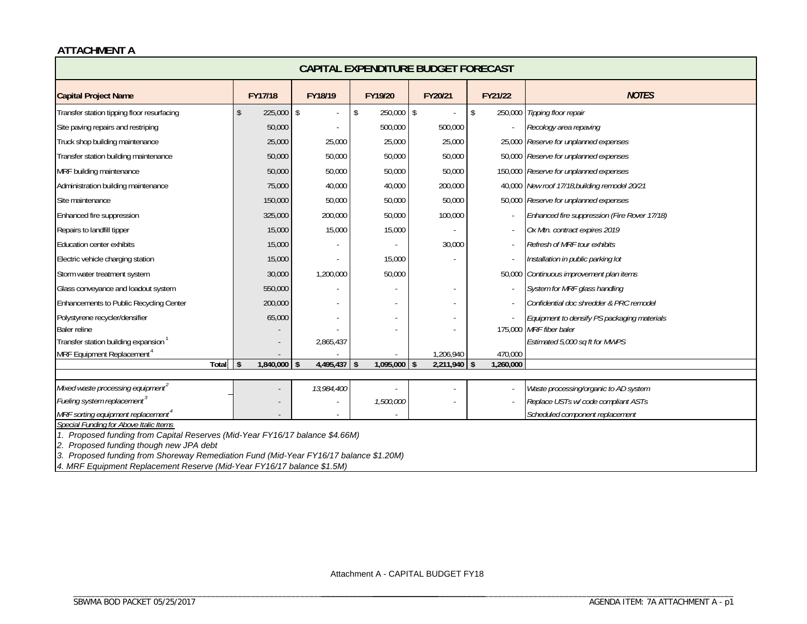#### **ATTACHMENT A**

| CAPITAL EXPENDITURE BUDGET FORECAST              |                                                                              |            |                                |                        |                                            |                                               |  |  |  |  |  |  |
|--------------------------------------------------|------------------------------------------------------------------------------|------------|--------------------------------|------------------------|--------------------------------------------|-----------------------------------------------|--|--|--|--|--|--|
| <b>Capital Project Name</b>                      | FY17/18                                                                      | FY18/19    | FY19/20                        | FY20/21                | FY21/22                                    | <b>NOTES</b>                                  |  |  |  |  |  |  |
| Transfer station tipping floor resurfacing       | 225,000                                                                      | \$         | \$<br>250,000                  | $\sqrt{2}$             | $\mathsf{\$}$<br>250,000                   | Tipping floor repair                          |  |  |  |  |  |  |
| Site paving repairs and restriping               | 50,000                                                                       |            | 500,000                        | 500,000                |                                            | Recology area repaving                        |  |  |  |  |  |  |
| Truck shop building maintenance                  | 25,000                                                                       | 25,000     | 25,000                         | 25,000                 |                                            | 25,000 Reserve for unplanned expenses         |  |  |  |  |  |  |
| Transfer station building maintenance            | 50,000                                                                       | 50,000     | 50,000                         | 50,000                 |                                            | 50,000 Reserve for unplanned expenses         |  |  |  |  |  |  |
| MRF building maintenance                         | 50,000                                                                       | 50,000     | 50,000                         | 50,000                 |                                            | 150,000 Reserve for unplanned expenses        |  |  |  |  |  |  |
| Administration building maintenance              | 75,000                                                                       | 40,000     | 40,000                         | 200,000                |                                            | 40,000 New roof 17/18, building remodel 20/21 |  |  |  |  |  |  |
| Site maintenance                                 | 150,000                                                                      | 50,000     | 50,000                         | 50,000                 |                                            | 50,000 Reserve for unplanned expenses         |  |  |  |  |  |  |
| Enhanced fire suppression                        | 325,000                                                                      | 200,000    | 50,000                         | 100,000                |                                            | Enhanced fire suppression (Fire Rover 17/18)  |  |  |  |  |  |  |
| Repairs to landfill tipper                       | 15,000                                                                       | 15,000     | 15,000                         |                        |                                            | Ox Mtn. contract expires 2019                 |  |  |  |  |  |  |
| Education center exhibits                        | 15,000                                                                       |            |                                | 30,000                 |                                            | Refresh of MRF tour exhibits                  |  |  |  |  |  |  |
| Electric vehicle charging station                | 15,000                                                                       |            | 15,000                         |                        |                                            | Installation in public parking lot            |  |  |  |  |  |  |
| Storm water treatment system                     | 30,000                                                                       | 1,200,000  | 50,000                         |                        | 50,000                                     | Continuous improvement plan items             |  |  |  |  |  |  |
| Glass conveyance and loadout system              | 550,000                                                                      |            |                                |                        |                                            | System for MRF glass handling                 |  |  |  |  |  |  |
| Enhancements to Public Recycling Center          | 200,000                                                                      |            |                                |                        |                                            | Confidential doc shredder & PRC remodel       |  |  |  |  |  |  |
| Polystyrene recycler/densifier                   | 65,000                                                                       |            |                                |                        |                                            | Equipment to densify PS packaging materials   |  |  |  |  |  |  |
| Baler reline                                     |                                                                              |            |                                |                        |                                            | 175,000 MRF fiber baler                       |  |  |  |  |  |  |
| Transfer station building expansion <sup>1</sup> |                                                                              | 2,865,437  |                                |                        |                                            | Estimated 5,000 sq ft for MWPS                |  |  |  |  |  |  |
| MRF Equipment Replacement <sup>4</sup><br>Total  | $1,840,000$ \$                                                               | 4,495,437  | $1,095,000$ \$<br>$\mathbf{s}$ | 1,206,940<br>2,211,940 | 470,000<br>1,260,000<br>$\mathbf{\hat{S}}$ |                                               |  |  |  |  |  |  |
|                                                  | l \$                                                                         |            |                                |                        |                                            |                                               |  |  |  |  |  |  |
| Mixed waste processing equipment                 |                                                                              | 13,984,400 |                                |                        |                                            | Waste processing/organic to AD system         |  |  |  |  |  |  |
| Fueling system replacement <sup>3</sup>          |                                                                              |            | 1,500,000                      |                        |                                            | Replace USTs w/ code compliant ASTs           |  |  |  |  |  |  |
| MRF sorting equipment replacement <sup>4</sup>   |                                                                              |            |                                |                        |                                            | Scheduled component replacement               |  |  |  |  |  |  |
| Special Funding for Above Italic Items           | 1. Proposed funding from Capital Reserves (Mid-Year FY16/17 balance \$4.66M) |            |                                |                        |                                            |                                               |  |  |  |  |  |  |

*2. Proposed funding though new JPA debt*

3. Proposed funding from Shoreway Remediation Fund (Mid-Year FY16/17 balance \$1.20M)

\_\_\_\_\_\_\_\_\_\_\_\_\_\_\_\_\_\_\_\_\_\_\_\_\_\_\_\_\_\_\_\_\_\_\_\_\_\_\_\_\_\_\_\_\_\_\_\_\_\_\_\_\_\_\_\_\_\_\_\_\_\_\_\_\_\_\_\_\_\_\_\_\_\_\_\_\_\_\_\_\_\_

*4. MRF Equipment Replacement Reserve (Mid-Year FY16/17 balance \$1.5M)* 

\_\_\_\_\_\_\_\_\_\_\_\_\_\_\_\_\_\_\_\_\_\_\_\_\_\_\_\_\_\_\_\_\_\_\_\_\_ \_\_\_\_\_\_\_\_\_\_\_\_\_\_\_\_\_\_\_\_\_\_\_\_\_\_\_\_\_\_\_\_\_\_\_\_\_\_\_\_\_\_\_\_\_\_\_\_\_\_\_\_\_\_\_\_\_\_\_\_\_\_\_\_\_\_\_\_\_\_\_\_\_\_\_\_\_\_\_\_\_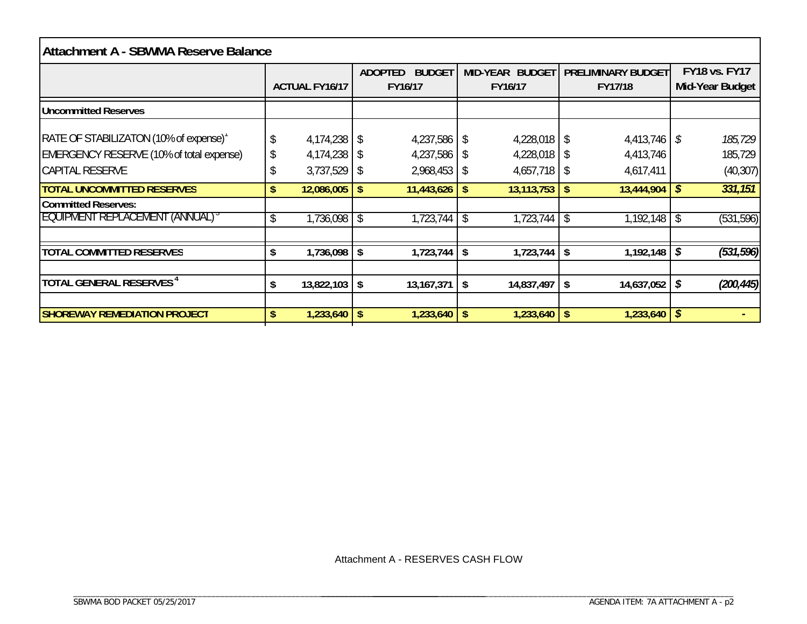| <b>Attachment A - SBWMA Reserve Balance</b>                                                                  |          |                                     |                |                                     |           |                                                    |  |                                      |               |                                         |  |  |
|--------------------------------------------------------------------------------------------------------------|----------|-------------------------------------|----------------|-------------------------------------|-----------|----------------------------------------------------|--|--------------------------------------|---------------|-----------------------------------------|--|--|
|                                                                                                              |          | <b>ACTUAL FY16/17</b>               | <b>ADOPTED</b> | <b>BUDGET</b><br>FY16/17            |           | MID-YEAR BUDGET<br>FY16/17                         |  | <b>PRELIMINARY BUDGET</b><br>FY17/18 |               | <b>FY18 vs. FY17</b><br>Mid-Year Budget |  |  |
| <b>Uncommitted Reserves</b>                                                                                  |          |                                     |                |                                     |           |                                                    |  |                                      |               |                                         |  |  |
| RATE OF STABILIZATON (10% of expense)'<br>EMERGENCY RESERVE (10% of total expense)<br><b>CAPITAL RESERVE</b> | \$<br>J, | 4,174,238<br>4,174,238<br>3,737,529 | \$<br>-S<br>\$ | 4,237,586<br>4,237,586<br>2,968,453 | \$.<br>-S | $4,228,018$ \$<br>$4,228,018$ \$<br>$4,657,718$ \$ |  | 4,413,746<br>4,413,746<br>4,617,411  | $\mathcal{S}$ | 185,729<br>185,729<br>(40, 307)         |  |  |
| <b>TOTAL UNCOMMITTED RESERVES</b>                                                                            | \$       | 12,086,005                          | \$             | 11,443,626                          | S.        | $13,113,753$   \$                                  |  | 13,444,904                           | \$            | 331,151                                 |  |  |
| <b>Committed Reserves:</b><br><b>EQUIPMENT REPLACEMENT (ANNUAL)</b>                                          | \$       | 1,736,098                           | \$             | 1,723,744                           | -\$       | $1,723,744$ \\$                                    |  | 1,192,148                            |               | (531, 596)                              |  |  |
| <b>TOTAL COMMITTED RESERVES</b>                                                                              | \$       | 1,736,098                           | \$             | 1,723,744                           | S.        | $1,723,744$ \ \\$                                  |  | 1,192,148                            | \$            | (531, 596)                              |  |  |
| TOTAL GENERAL RESERVES <sup>4</sup>                                                                          | \$       | 13,822,103                          | \$             | 13, 167, 371                        | \$        | $14,837,497$   \$                                  |  | 14,637,052                           | \$            | (200, 445)                              |  |  |
| <b>SHOREWAY REMEDIATION PROJECT</b>                                                                          | \$       | 1,233,640                           | \$             | $1,233,640$   \$                    |           | $1,233,640$   \$                                   |  | 1,233,640                            | \$            |                                         |  |  |

Attachment A - RESERVES CASH FLOW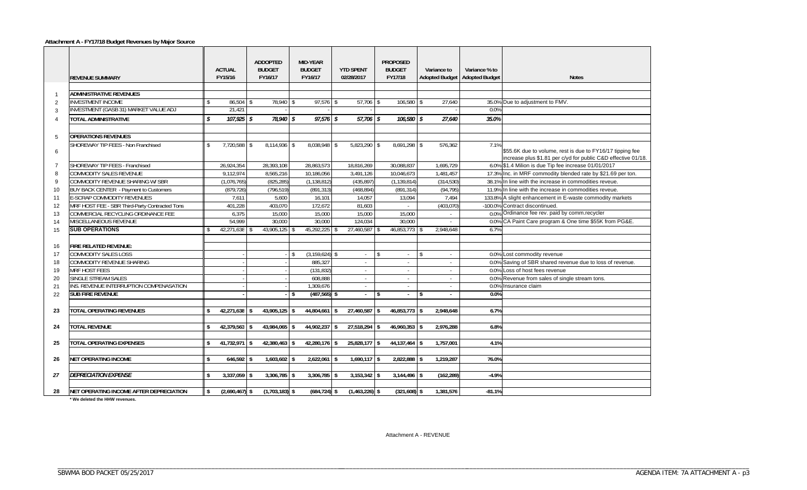#### **Attachment A - FY17/18 Budget Revenues by Major Source**

|                | <b>REVENUE SUMMARY</b>                         | <b>ACTUAL</b><br>FY15/16 | <b>ADDOPTED</b><br><b>BUDGET</b><br>FY16/17 |          | <b>MID-YEAR</b><br><b>BUDGET</b><br>FY16/17 | <b>YTD SPENT</b><br>02/28/2017 |      | <b>PROPOSED</b><br><b>BUDGET</b><br>FY17/18 |    | Variance to | Variance % to<br>Adopted Budget   Adopted Budget | <b>Notes</b>                                                                                                               |
|----------------|------------------------------------------------|--------------------------|---------------------------------------------|----------|---------------------------------------------|--------------------------------|------|---------------------------------------------|----|-------------|--------------------------------------------------|----------------------------------------------------------------------------------------------------------------------------|
|                |                                                |                          |                                             |          |                                             |                                |      |                                             |    |             |                                                  |                                                                                                                            |
| $\overline{1}$ | <b>ADMINISTRATIVE REVENUES</b>                 |                          |                                             |          |                                             |                                |      |                                             |    |             |                                                  |                                                                                                                            |
| 2              | <b>INVESTMENT INCOME</b>                       | \$<br>86.504<br>21,421   | 78.940                                      | l \$     | $97.576$ \$                                 | 57.706 \$                      |      | $106.580$ \$                                |    | 27.640      | 0.0%                                             | 35.0% Due to adjustment to FMV.                                                                                            |
| 3              | <b>INVESTMENT (GASB 31) MARKET VALUE ADJ</b>   |                          |                                             |          |                                             |                                |      |                                             |    |             |                                                  |                                                                                                                            |
| $\Delta$       | TOTAL ADMINISTRATIVE                           | \$<br>$107.925$ \$       | 78,940                                      | l s      | $97,576$ \$                                 | 57.706 \$                      |      | $106,580$ \$                                |    | 27.640      | 35.0%                                            |                                                                                                                            |
|                |                                                |                          |                                             |          |                                             |                                |      |                                             |    |             |                                                  |                                                                                                                            |
| 5              | <b>OPERATIONS REVENUES</b>                     |                          |                                             |          |                                             |                                |      |                                             |    |             |                                                  |                                                                                                                            |
| 6              | SHOREWAY TIP FEES - Non Franchised             | \$<br>7,720,588 \$       | 8,114,936                                   | <b>S</b> | $8,038,948$ \$                              | $5,823,290$ \$                 |      | 8,691,298 \$                                |    | 576,362     | 7.1%                                             | \$55.6K due to volume, rest is due to FY16/17 tipping fee<br>increase plus \$1.81 per c/yd for public C&D effective 01/18. |
| $\overline{7}$ | <b>SHOREWAY TIP FEES - Franchised</b>          | 26,924,354               | 28,393,108                                  |          | 28,863,573                                  | 18,816,269                     |      | 30,088,837                                  |    | 1.695.729   |                                                  | 6.0% \$1.4 Milion is due Tip fee increase 01/01/2017                                                                       |
| 8              | <b>COMMODITY SALES REVENUE</b>                 | 9,112,974                | 8.565.216                                   |          | 10.186.056                                  | 3,491,126                      |      | 10,046,673                                  |    | 1.481.457   |                                                  | 17.3% Inc. in MRF commodity blended rate by \$21.69 per ton.                                                               |
| 9              | COMMODITY REVENUE SHARING W/ SBR               | (1,076,765)              | (825, 285)                                  |          | (1, 138, 812)                               | (435, 897)                     |      | (1, 139, 814)                               |    | (314, 530)  |                                                  | 38.1% In line with the increase in commodities reveue.                                                                     |
| 10             | BUY BACK CENTER - Payment to Customers         | (879, 726)               | (796, 519)                                  |          | (891, 313)                                  | (468, 894)                     |      | (891, 314)                                  |    | (94, 795)   |                                                  | 11.9% In line with the increase in commodities reveue.                                                                     |
| 11             | E-SCRAP COMMODITY REVENUES                     | 7,611                    | 5,600                                       |          | 16,101                                      | 14,057                         |      | 13,094                                      |    | 7,494       |                                                  | 133.8% A slight enhancement in E-waste commodity markets                                                                   |
| 12             | MRF HOST FEE - SBR Third-Party Contracted Tons | 401.228                  | 403.070                                     |          | 172.672                                     | 81.603                         |      |                                             |    | (403,070)   |                                                  | -100.0% Contract discontinued.                                                                                             |
| 13             | COMMERCIAL RECYCLING ORDINANCE FEE             | 6.375                    | 15.000                                      |          | 15.000                                      | 15.000                         |      | 15.000                                      |    | $\sim$      |                                                  | 0.0% Ordinance fee rev. paid by comm.recycler                                                                              |
| 14             | <b>MISCELLANEOUS REVENUE</b>                   | 54,999                   | 30,000                                      |          | 30,000                                      | 124,034                        |      | 30,000                                      |    |             |                                                  | 0.0% CA Paint Care program & One time \$55K from PG&E.                                                                     |
| 15             | <b>SUB OPERATIONS</b>                          | 42,271,638 \$            | 43,905,125                                  |          | 45,292,225                                  | 27,460,587 \$                  |      | 46,853,773 \$                               |    | 2.948.648   | 6.7%                                             |                                                                                                                            |
|                |                                                |                          |                                             |          |                                             |                                |      |                                             |    |             |                                                  |                                                                                                                            |
| 16             | <b>FIRE RELATED REVENUE:</b>                   |                          |                                             |          |                                             |                                |      |                                             |    |             |                                                  |                                                                                                                            |
| 17             | <b>COMMODITY SALES LOSS</b>                    |                          |                                             |          | $(3, 159, 624)$ \$                          | $\sim$                         |      | $\sim$                                      | \$ | $\sim$      |                                                  | 0.0% Lost commodity revenue                                                                                                |
| 18             | COMMODITY REVENUE SHARING                      |                          |                                             |          | 885,327                                     |                                |      | ÷                                           |    | $\sim$      |                                                  | 0.0% Saving of SBR shared revenue due to loss of revenue.                                                                  |
| 19             | <b>MRF HOST FEES</b>                           |                          |                                             |          | (131, 832)                                  | $\sim$                         |      | ÷.                                          |    | $\sim$      |                                                  | 0.0% Loss of host fees revenue                                                                                             |
| 20             | SINGLE STREAM SALES                            |                          |                                             |          | 608,888                                     | $\sim$                         |      | $\overline{\phantom{a}}$                    |    | $\sim$      |                                                  | 0.0% Revenue from sales of single stream tons.                                                                             |
| 21             | INS. REVENUE INTERRUPTION COMPENASATION        |                          |                                             |          | 1,309,676                                   | $\sim$                         |      | ÷.                                          |    | $\sim$      |                                                  | 0.0% Insurance claim                                                                                                       |
| 22             | <b>SUB FIRE REVENUE</b>                        |                          |                                             | -S       | $(487, 565)$ \$                             |                                | l \$ |                                             | £. | $\sim$      | 0.0%                                             |                                                                                                                            |
|                |                                                |                          |                                             |          |                                             |                                |      |                                             |    |             |                                                  |                                                                                                                            |
| 23             | <b>TOTAL OPERATING REVENUES</b>                | 42,271,638 \$            | 43,905,125                                  |          | 44,804,661                                  | 27,460,587                     |      | 46,853,773                                  | -S | 2,948,648   | 6.7%                                             |                                                                                                                            |
|                |                                                |                          |                                             |          |                                             |                                |      |                                             |    |             |                                                  |                                                                                                                            |
| 24             | <b>TOTAL REVENUE</b>                           | \$<br>$42.379.563$ \ \$  | 43.984.065                                  | \$       | 44.902.237 \$                               | $27.518.294$ \ \$              |      | $46.960.353$ \$                             |    | 2.976.288   | 6.8%                                             |                                                                                                                            |
|                |                                                |                          |                                             |          |                                             |                                |      |                                             |    |             |                                                  |                                                                                                                            |
| 25             | <b>TOTAL OPERATING EXPENSES</b>                | $41,732,971$ \$          | 42,380,463 \$                               |          | 42,280,176 \$                               | 25,828,177 \$                  |      | $44,137,464$ \$                             |    | 1.757.001   | 4.1%                                             |                                                                                                                            |
|                |                                                |                          |                                             |          |                                             |                                |      |                                             |    |             |                                                  |                                                                                                                            |
| 26             | <b>NET OPERATING INCOME</b>                    | \$<br>$646,592$ \$       | 1,603,602                                   | l \$     | $2,622,061$ \$                              | $1,690,117$ \$                 |      | 2,822,888 \$                                |    | 1,219,287   | 76.0%                                            |                                                                                                                            |
|                |                                                |                          |                                             |          |                                             |                                |      |                                             |    |             |                                                  |                                                                                                                            |
| 27             | <b>DEPRECIATION EXPENSE</b>                    | \$<br>$3,337,059$ \$     | 3,306,785                                   | \$       | $3,306,785$ \$                              | $3,153,342$ \$                 |      | $3,144,496$ \$                              |    | (162, 289)  | $-4.9%$                                          |                                                                                                                            |
|                |                                                |                          |                                             |          |                                             |                                |      |                                             |    |             |                                                  |                                                                                                                            |
| 28             | <b>NET OPERATING INCOME AFTER DEPRECIATION</b> | $(2,690,467)$ \$         | $(1,703,183)$ \$                            |          | $(684, 724)$ \$                             | $(1,463,226)$ \$               |      | $(321,608)$ \$                              |    | 1,381,576   | $-81.1%$                                         |                                                                                                                            |

**\* We deleted the HHW revenues.**

Attachment A - REVENUE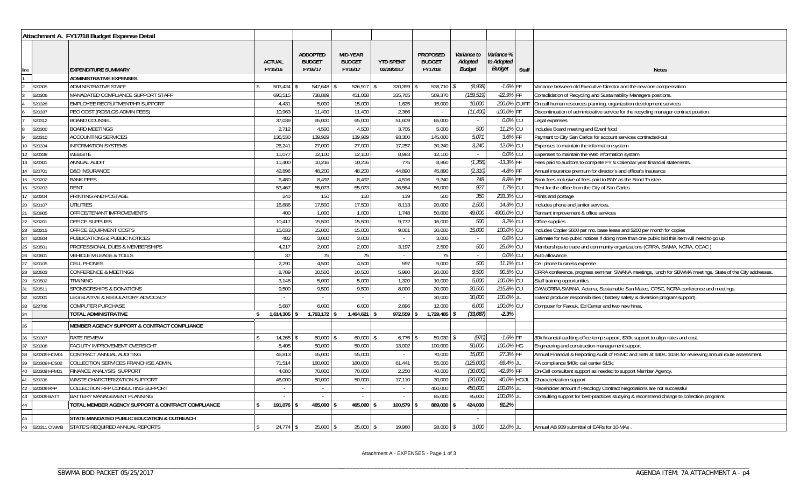|                                                                                                             |                  | Attachment A. FY17/18 Budget Expense Detail       |                                   |                                             |                                             |                                |                                             |                                         |                                    |       |                                                                                                           |
|-------------------------------------------------------------------------------------------------------------|------------------|---------------------------------------------------|-----------------------------------|---------------------------------------------|---------------------------------------------|--------------------------------|---------------------------------------------|-----------------------------------------|------------------------------------|-------|-----------------------------------------------------------------------------------------------------------|
| $\frac{\text{line}}{1}$                                                                                     |                  | <b>EXPENDITURE SUMMARY</b>                        | <b>ACTUAL</b><br>FY15/16          | <b>ADDOPTED</b><br><b>BUDGET</b><br>FY16/17 | <b>MID-YEAR</b><br><b>BUDGET</b><br>FY16/17 | <b>YTD SPENT</b><br>02/28/2017 | <b>PROPOSED</b><br><b>BUDGET</b><br>FY17/18 | Variance to<br>Adopted<br><b>Budget</b> | Variance %<br>to Adopted<br>Budget | Staff | <b>Notes</b>                                                                                              |
|                                                                                                             |                  | ADMINISTRATIVE EXPENSES<br>ADMINISTRATIVE STAFF   |                                   |                                             | 526,917                                     | 320,399                        |                                             |                                         | $-1.6%$ FF                         |       | Variance between old Executive Director and the new one compensation                                      |
|                                                                                                             | 520305<br>520306 | MANADATED COMPLIANCE SUPPORT STAFF                | 503,424<br>690,515                | 547,648<br>738,889                          | 451,068                                     | 335,765                        | 538,710<br>569,370                          | (8,938)<br>(169, 519)                   | -22.9% FF                          |       | Consolidation of Recycling and Sustainability Managers positions.                                         |
|                                                                                                             | 520328           | EMPLOYEE RECRUITMENT/HR SUPPORT                   | 4,431                             | 5,000                                       | 15,000                                      | 1,625                          | 15,000                                      | <i>10,000</i>                           | 200.0% CU/FF                       |       | On call human resources planning, organization development services                                       |
|                                                                                                             | 520337           | PEO COST (RGS/LGS ADMIN FEES)                     | 10,963                            | 11,400                                      | 11,400                                      | 2,366                          | $\sim$                                      | (11, 400)                               | -100.0% FF                         |       | Discontinuation of administrative service for the recycling manager contract position.                    |
|                                                                                                             | 520312           | <b>BOARD COUNSEL</b>                              | 37,039                            | 65,000                                      | 65,000                                      | 51,609                         | 65,000                                      | $\sim$                                  | 0.0% CU                            |       | egal expenses                                                                                             |
|                                                                                                             | 520300           | <b>BOARD MEETINGS</b>                             | 2,712                             | 4,500                                       | 4,500                                       | 3,705                          | 5,000                                       | 500                                     | 11.1% CU                           |       | Includes Board meeting and Event food                                                                     |
|                                                                                                             | 520310           | ACCOUNTING SERVICES                               | 136,530                           | 139,929                                     | 139,929                                     | 93,300                         | 145,000                                     | 5,071                                   | 3.6% FF                            |       | Payment to City San Carlos for account services contracted-out                                            |
| 10 <sup>1</sup>                                                                                             | 520334           | <b>INFORMATION SYSTEMS</b>                        | 26,241                            | 27,000                                      | 27,000                                      | 17,257                         | 30,240                                      | 3,240                                   | 12.0% CU                           |       | Expenses to maintain the information system                                                               |
| 12 <sup>12</sup>                                                                                            | 520338           | WEBSITE                                           | 11,077                            | 12,100                                      | 12,100                                      | 8,983                          | 12,100                                      |                                         | 0.0% CU                            |       | Expenses to maintain the Web information system                                                           |
| 13                                                                                                          | 520301           | ANNUAL AUDIT                                      | 11,400                            | 10,216                                      | 10,216                                      | 775                            | 8,860                                       | (1, 356)                                | -13.3% FF                          |       | Fees paid to auditors to complete FY & Calendar year financial statements.                                |
| 14                                                                                                          | 520701           | <b>D&amp;O INSURANCE</b>                          | 42,898                            | 48,200                                      | 48,200                                      | 44,890                         | 45,890                                      | (2, 310)                                | -4.8% FF                           |       | Annual insurance premium for director's and officer's insurance                                           |
|                                                                                                             | 520202           | <b>BANK FEES</b>                                  | 6,480                             | 8,492                                       | 8,492                                       | 4,516                          | 9,240                                       | 748                                     | 8.8% FF                            |       | Bank fees inclusive of fees paid to BNY as the Bond Trustee.                                              |
| $\frac{15}{16}$                                                                                             | 520203           | RENT                                              | 53,467                            | 55,073                                      | 55,073                                      | 36,564                         | 56,000                                      | 927                                     | 1.7% CU                            |       | Rent for the office from the City of San Carlos                                                           |
| 17 <sup>7</sup>                                                                                             | 520204           | PRINTING AND POSTAGE                              | 240                               | 150                                         | 150                                         | 119                            | 500                                         | 350                                     | 233.3% CU                          |       | Prints and postage                                                                                        |
|                                                                                                             | 520107           | UTILITIES                                         | 16,886                            | 17,500                                      | 17,500                                      | 8,113                          | 20,000                                      | 2,500                                   | 14.3% CU                           |       | ncludes phone and janitor services.                                                                       |
|                                                                                                             | 520905           | OFFICE/TENANT IMPROVEMENTS                        | 400                               | 1,000                                       | 1,000                                       | 1,748                          | 50,000                                      | 49,000                                  | 4900.0% CU                         |       | Tennant improvement & office services                                                                     |
| $\begin{array}{c c}\n\hline\n20 & 21 \\ \hline\n22 & 23 \\ \hline\n24 & 25 \\ \hline\n26 & 27\n\end{array}$ | 520201           | OFFICE SUPPLIES                                   | 10,417                            | 15,500                                      | 15,500                                      | 9,772                          | 16,000                                      | 500                                     | 3.2% CU                            |       | Office supplies                                                                                           |
|                                                                                                             | 520215           | OFFICE EQUIPMENT COSTS                            | 15,033                            | 15,000                                      | 15,000                                      | 9,061                          | 30,000                                      | 15,000                                  | 100.0% CU                          |       | Includes Copier \$600 per mo. base lease and \$200 per month for copies                                   |
|                                                                                                             | 520504           | PUBLICATIONS & PUBLIC NOTICES                     | 482                               | 3,000                                       | 3,000                                       | $\sim$                         | 3,000                                       |                                         | 0.0% CU                            |       | Estimate for two public notices if doing more than one public bid this item will need to go up            |
|                                                                                                             | 520501           | PROFESSIONAL DUES & MEMBERSHIPS                   | 4,217                             | 2,000                                       | 2,000                                       | 3,197                          | 2,500                                       | 500                                     | 25.0% CU                           |       | Memberships to trade and community organizations (CRRA, SWMA, NCRA, CCAC)                                 |
|                                                                                                             | 520801           | VEHICLE MILEAGE & TOLLS                           | 37                                | 75                                          | 75                                          | $\sim$                         | 75                                          | $\sim$                                  | 0.0% CU                            |       | Auto allowance.                                                                                           |
|                                                                                                             | 520105           | CELL PHONES                                       | 2,291                             | 4,500                                       | 4,500                                       | 597                            | 5,000                                       | 500                                     | 11.1% CU                           |       | Cell phone business expense.                                                                              |
|                                                                                                             | 520503           | <b>CONFERENCE &amp; MEETINGS</b>                  | 8,789                             | 10,500                                      | 10,500                                      | 5,980                          | 20,000                                      | 9,500                                   | 90.5% CU                           |       | CRRA conference, progress seminar, SWANA meetings, lunch for SBWMA meetings, State of the City addresses. |
| $\begin{array}{c}\n 28 \\  29 \\  \hline\n 31\n \end{array}$                                                | 520502           | <b>TRAINING</b>                                   | 3,148                             | 5,000                                       | 5,000                                       | 1,320                          | 10,000                                      | 5,000                                   | 100.0% CU                          |       | Staff training opportunities.                                                                             |
|                                                                                                             | 520511           | SPONSORSHIPS & DONATIONS                          | 9,500                             | 9,500                                       | 9,500                                       | 8,000                          | 30,000                                      | 20,500                                  | 215.8% CU                          |       | CAW, CRRA, SWANA. Acterra, Sustainable San Mateo, CPSC, NCRA conference and meetings.                     |
|                                                                                                             | 522001           | LEGISLATIVE & REGULATORY ADVOCACY                 |                                   | $\sim$                                      | $\sim$                                      | $\sim$                         | 30,000                                      | 30,000                                  | 100.0% JI                          |       | Extend producer responsibilities (battery safety & diversion program support).                            |
|                                                                                                             | 522706           | COMPUTER PURCHASE                                 | 5,687                             | 6,000                                       | 6,000                                       | 2,896                          | 12,000                                      | 6,000                                   | 100.0% CU                          |       | Computer for Farouk, Ed Center and two new hires.                                                         |
|                                                                                                             |                  | TOTAL ADMINISTRATIVE                              | 1,614,305<br>s.                   | $1,763,172$ \$                              | $1,464,621$ \$                              | 972,559                        | 1,729,485                                   | (33, 687)                               | $-2.3%$                            |       |                                                                                                           |
| $\begin{array}{r l}\n 32 \\  \hline\n 33 \\  \hline\n 34 \\  \hline\n 35 \\  \hline\n 37\n \end{array}$     |                  | MEMBER AGENCY SUPPORT & CONTRACT COMPLIANCE       |                                   |                                             |                                             |                                |                                             |                                         |                                    |       |                                                                                                           |
|                                                                                                             | 520307           | <b>RATE REVIEW</b>                                | 14,265                            | 60,000                                      | 60,000                                      | 6,776                          | 59,030                                      | (970)                                   | $-1.6%$ FF                         |       | 30k financial auditing office temp support, \$30k support to align rates and cost.                        |
|                                                                                                             | 520308           | FACILITY IMPROVEMENT OVERSIGHT                    | 8,405                             | 50,000                                      | 50,000                                      | 13,002                         | 100,000                                     | <i>50,000</i>                           | 100.0% HG                          |       | Engineering and construction management support                                                           |
| 38                                                                                                          | 520309 HCM01     | CONTRACT ANNUAL AUDITING                          | 46,813                            | 55,000                                      | 55,000                                      | $\sim$                         | 70,000                                      | <i>15,000</i>                           | 27.3% FF                           |       | Annual Financial & Reporting Audit of RSMC and SBR at \$40K. \$15K for reviewing annual route assessment. |
|                                                                                                             | 520309 HCS02     | COLLECTION SERVICES FRANCHISE ADMIN.              | 71,514                            | 180,000                                     | 180,000                                     | 61,441                         | 55,000                                      | (125,000)                               | $-69.4\%$ JL                       |       | FA compliance \$40k; call center \$15k;                                                                   |
| $\frac{39}{40}$ $\frac{40}{42}$ $\frac{42}{44}$                                                             | 520309 HFM01     | <b>FINANCE ANALYSIS SUPPORT</b>                   | 4,080                             | 70,000                                      | 70,000                                      | 2,250                          | 40,000                                      | (30,000)                                | -42.9% FF                          |       | On-Call consultant support as needed to support Member Agency                                             |
|                                                                                                             | 520336           | WASTE CHARCTERIZATION SUPPORT                     | 46,000                            | 50,000                                      | 50,000                                      | 17,110                         | 30,000                                      | (20,000)                                | -40.0% HG/JL                       |       | Characterization support                                                                                  |
|                                                                                                             | 520309 RFP       | COLLECTION RFP CONSULTING SUPPORT                 | $\overline{\phantom{a}}$          | $\sim$                                      | $\sim$                                      | $\sim$                         | 450,000                                     | 450,000                                 | 100.0% JL                          |       | Placeholder amount if Recology Contract Negotiations are not successful                                   |
|                                                                                                             | 520309 BATT      | BATTERY MANAGEMENT PLANNING                       |                                   | $\mathcal{L}$                               | $\sim$                                      | $\sim$                         | 85,000                                      | 85,000                                  | 100.0% JL                          |       | Consulting support for best-practices studying & recommend change to collection programs                  |
|                                                                                                             |                  | TOTAL MEMBER AGENCY SUPPORT & CONTRACT COMPLIANCE | 191,076<br>$\mathbf{\hat{s}}$     | 465,000                                     | 465,000                                     | 100,579                        | 889,030                                     | 424,030                                 | 91.2%                              |       |                                                                                                           |
|                                                                                                             |                  | STATE MANDATED PUBLIC EDUCATION & OUTREACH        |                                   |                                             |                                             |                                |                                             |                                         |                                    |       |                                                                                                           |
| $\frac{45}{46}$                                                                                             | 520311 CIWMB     | STATE'S REQUIRED ANNUAL REPORTS                   | $24,774$ \$<br>$\mathbf{\hat{s}}$ | $25,000$ \$                                 | 25,000                                      | 19,960                         | 28,000                                      | 3,000<br>Ŝ                              | 12.0% JL                           |       | Annual AB 939 submittal of EARs for 10-MAs                                                                |
|                                                                                                             |                  |                                                   |                                   |                                             |                                             |                                |                                             |                                         |                                    |       |                                                                                                           |

\_\_\_\_\_\_\_\_\_\_\_\_\_\_\_\_\_\_\_\_\_\_\_\_\_\_\_\_\_\_\_\_\_\_\_\_\_ \_\_\_\_\_\_\_\_\_\_\_\_\_\_\_\_\_\_\_\_\_\_\_\_\_\_\_\_\_\_\_\_\_\_\_\_\_\_\_\_\_\_\_\_\_\_\_\_\_\_\_\_\_\_\_\_\_\_\_\_\_\_\_\_\_\_\_\_\_\_\_\_\_\_\_\_\_\_\_\_\_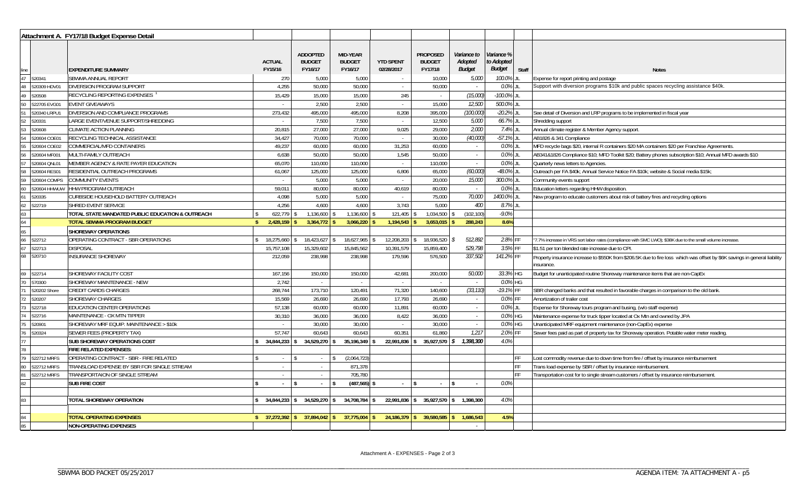|                                    |              | Attachment A. FY17/18 Budget Expense Detail      |                                |                                             |                                      |                                |                                             |                                         |                                           |       |                                                                                                                                          |
|------------------------------------|--------------|--------------------------------------------------|--------------------------------|---------------------------------------------|--------------------------------------|--------------------------------|---------------------------------------------|-----------------------------------------|-------------------------------------------|-------|------------------------------------------------------------------------------------------------------------------------------------------|
| line                               |              | <b>EXPENDITURE SUMMARY</b>                       | <b>ACTUAL</b><br>FY15/16       | <b>ADDOPTED</b><br><b>BUDGET</b><br>FY16/17 | MID-YEAR<br><b>BUDGET</b><br>FY16/17 | <b>YTD SPENT</b><br>02/28/2017 | <b>PROPOSED</b><br><b>BUDGET</b><br>FY17/18 | Variance to<br>Adopted<br><b>Budget</b> | Variance %<br>to Adopted<br><b>Budget</b> | Staff | <b>Notes</b>                                                                                                                             |
| 47                                 | 520341       | SBWMA ANNUAL REPORT                              | 270                            | 5,000                                       | 5,000                                |                                | 10,000                                      | 5,000                                   | 100.0%                                    |       | Expense for report printing and postage                                                                                                  |
| 48                                 | 520309 HDV01 | <b>DIVERSION PROGRAM SUPPORT</b>                 | 4,255                          | 50,000                                      | 50,000                               | $\sim$                         | 50,000                                      |                                         | 0.0%                                      |       | Support with diversion programs \$10k and public spaces recycling assistance \$40k.                                                      |
| 49                                 | 520508       | RECYCLING REPORTING EXPENSES                     | 15,429                         | 15,000                                      | 15,000                               | 245                            | $\sim$                                      | (15,000)                                | $-100.0\%$ JL                             |       |                                                                                                                                          |
| 50                                 | 522705 EVG01 | <b>EVENT GIVEAWAYS</b>                           |                                | 2,500                                       | 2,500                                | $\sim$                         | 15,000                                      | 12,500                                  | 500.0% JL                                 |       |                                                                                                                                          |
|                                    | 520340 LRPU1 | DIVERSION AND COMPLIANCE PROGRAMS                | 273,432                        | 495,000                                     | 495,000                              | 8,208                          | 395,000                                     | (100, 000)                              | $-20.2\%$ JL                              |       | See detail of Diversion and LRP programs to be implemented in fiscal year                                                                |
| 52                                 | 520331       | LARGE EVENT/VENUE SUPPORT/SHREDDING              |                                | 7,500                                       | 7,500                                | $\sim$                         | 12,500                                      | <i>5,000</i>                            | 66.7% JL                                  |       | Shredding support                                                                                                                        |
|                                    | 520608       | CLIMATE ACTION PLANNING                          | 20,815                         | 27,000                                      | 27,000                               | 9,025                          | 29,000                                      | 2,000                                   | 7.4% JL                                   |       | Annual climate register & Member Agency support.                                                                                         |
|                                    | 520604 COE01 | RECYCLING TECHNICAL ASSISTANCE                   | 34,427                         | 70,000                                      | 70,000                               | $\sim$                         | 30,000                                      | (40,000)                                | $-57.1\%$ JI                              |       | AB1826 & 341 Compliance                                                                                                                  |
|                                    | 520604 COE02 | COMMERCIAL/MFD CONTAINERS                        | 49,237                         | 60,000                                      | 60,000                               | 31,253                         | 60,000                                      | $\sim$                                  | 0.0% JL                                   |       | MFD recycle bags \$20, internal R containers \$20 MA containers \$20 per Franchise Agreements.                                           |
|                                    | 520604 MF001 | MULTI-FAMILY OUTREACH                            | 6,638                          | 50,000                                      | 50,000                               | 1,545                          | 50,000                                      | $\sim$                                  | 0.0% JL                                   |       | AB341&1826 Compliance \$10; MFD Toolkit \$20; Battery phones subscription \$10; Annual MFD awards \$10                                   |
|                                    | 520604 QNL01 | MEMBER AGENCY & RATE PAYER EDUCATION             | 65,070                         | 110,000                                     | 110,000                              | $\sim$                         | 110,000                                     | $\sim$                                  | 0.0% JL                                   |       | Quarterly news letters to Agencies.                                                                                                      |
|                                    | 520604 RES01 | RESIDENTIAL OUTREACH PROGRAMS                    | 61,067                         | 125,000                                     | 125,000                              | 6,806                          | 65,000                                      | (60,000)                                | -48.0% JL                                 |       | Outreach per FA \$40k; Annual Service Notice FA \$10k; website & Social media \$15k;                                                     |
|                                    | 520604 COMPS | <b>COMMUNITY EVENTS</b>                          |                                | 5,000                                       | 5,000                                | $\sim$                         | 20,000                                      | <i>15,000</i>                           | 300.0% JL                                 |       | Community events support                                                                                                                 |
| 60                                 | 520604 HHWUW | HHW PROGRAM OUTREACH                             | 59,011                         | 80,000                                      | 80,000                               | 40,619                         | 80,000                                      |                                         | 0.0% JL                                   |       | Education letters regarding HHW disposition.                                                                                             |
|                                    | 520335       | CURBSIDE HOUSEHOLD BATTERY OUTREACH              | 4,098                          | 5,000                                       | 5,000                                | $\sim$                         | 75,000                                      | 70,000                                  | 1400.0%                                   |       | New program to educate customers about risk of battery fires and recycling options                                                       |
|                                    | 522719       | SHRED EVENT SERVICE                              | 4,256                          | 4,600                                       | 4,600                                | 3,743                          | 5,000                                       | 400                                     | 8.7% JL                                   |       |                                                                                                                                          |
|                                    |              | TOTAL STATE MANDATED PUBLIC EDUCATION & OUTREACH | 622,779 \$                     | 1,136,600                                   | 1,136,600                            | 121,405                        | 1,034,500                                   | (102, 100)                              | $-9.0%$                                   |       |                                                                                                                                          |
| $\frac{62}{63}$<br>$\frac{64}{65}$ |              | <b>TOTAL SBWMA PROGRAM BUDGET</b>                | $2,428,159$ \$<br>$\mathbf{s}$ | $3,364,772$ \$                              | $3,066,220$ \$                       | $1,194,543$ \$                 | 3,653,015                                   | 288,243                                 | 8.6%                                      |       |                                                                                                                                          |
|                                    |              | <b>SHOREWAY OPERATIONS</b>                       |                                |                                             |                                      |                                |                                             |                                         |                                           |       |                                                                                                                                          |
| $\frac{66}{67}$                    | 522712       | OPERATING CONTRACT - SBR OPERATIONS              | 18,275,660                     | 18,423,627                                  | 18,627,965                           | 12,208,203                     | 18,936,520                                  | 512,892<br>£.                           | 2.8% FF                                   |       | "7.7% increase in VRS sort labor rates (compliance with SMC LWO); \$38K due to the small volume increase.                                |
|                                    | 522713       | <b>DISPOSAL</b>                                  | 15,757,108                     | 15,329,602                                  | 15,845,562                           | 10,391,579                     | 15,859,400                                  | 529,798                                 | 3.5% FF                                   |       | \$1.51 per ton blended rate increase due to CPI.                                                                                         |
| 68                                 | 520710       | INSURANCE SHOREWAY                               | 212,059                        | 238,998                                     | 238,998                              | 179,596                        | 576,500                                     | 337,502                                 | 141.2% FF                                 |       | Property insurance increase to \$550K from \$206.5K due to fire loss which was offset by \$6K savings in general liability<br>insurance. |
| 69                                 | 522714       | <b>SHOREWAY FACILITY COST</b>                    | 167,156                        | 150,000                                     | 150,000                              | 42,681                         | 200,000                                     | 50,000                                  | 33.3% HG                                  |       | Budget for unanticipated routine Shoreway maintenance items that are non-CapEx                                                           |
| 70                                 | 570300       | SHOREWAY MAINTENANCE - NEW                       | 2,742                          | $\sim$                                      | $\sim$                               | $\sim$                         |                                             |                                         | 0.0% HG                                   |       |                                                                                                                                          |
|                                    | 520202 Shore | <b>CREDIT CARDS CHARGES</b>                      | 268,744                        | 173,710                                     | 120,491                              | 71,320                         | 140,600                                     | (33, 110)                               | -19.1% FF                                 |       | SBR changed banks and that resulted in favorable charges in comparison to the old bank                                                   |
| 72                                 | 520207       | SHOREWAY CHARGES                                 | 15,569                         | 26,690                                      | 26,690                               | 17,793                         | 26,690                                      | $\sim$ $-$                              | 0.0% FF                                   |       | Amortization of trailer cost                                                                                                             |
| 73                                 | 522718       | EDUCATION CENTER OPERATIONS                      | 57,138                         | 60,000                                      | 60,000                               | 11,891                         | 60,000                                      | $\sim$ $-$                              | 0.0% JL                                   |       | Expense for Shoreway tours program and busing, (w/o staff expense)                                                                       |
| 74                                 | 522716       | MAINTENANCE - OX MTN TIPPER                      | 30,310                         | 36,000                                      | 36,000                               | 8,422                          | 36,000                                      | $\sim 10^{-1}$                          | 0.0% HG                                   |       | Maintenance expense for truck tipper located at Ox Mtn and owned by JPA                                                                  |
| 75                                 | 520901       | SHOREWAY MRF EQUIP. MAINTENANCE > \$10k          |                                | 30,000                                      | 30,000                               | $\sim$                         | 30,000                                      | $\sim$                                  | 0.0% HG                                   |       | Unanticipated MRF equipment maintenance (non-CapEx) expense                                                                              |
| 76                                 | 520324       | SEWER FEES (PROPERTY TAX)                        | 57,747                         | 60,643                                      | 60,643                               | 60,351                         | 61,860                                      | 1,217                                   | 2.0%                                      |       | Sewer fees paid as part of property tax for Shoreway operation. Potable water meter reading.                                             |
| 77                                 |              | <b>SUB SHOREWAY OPERATIONS COST</b>              | 34,844,233<br>$\mathbf{s}$     | 34,529,270 \$                               | $35,196,349$ \$                      | 22,991,836 \$                  | $35,927,570$ \$                             | 1,398,300                               | 4.0%                                      |       |                                                                                                                                          |
| 78                                 |              | <b>FIRE RELATED EXPENSES:</b>                    |                                |                                             |                                      |                                |                                             |                                         |                                           |       |                                                                                                                                          |
| 79                                 | 522712 MRFS  | OPERATING CONTRACT - SBR - FIRE RELATED          | $\sim$                         | $\sim$                                      | (2,064,723)                          |                                |                                             |                                         |                                           |       | ost commodity revenue due to down time from fire / offset by insurance reimbursement                                                     |
| 80                                 | 522712 MRFS  | TRANSLOAD EXPENSE BY SBR FOR SINGLE STREAM       | $\sim$                         | $\sim$                                      | 871,378                              |                                |                                             |                                         |                                           |       | Trans load expense by SBR / offset by insurance reimbursement.                                                                           |
|                                    | 522712 MRFS  | TRANSPORTAION OF SINGLE STREAM                   | $\sim$                         | $\sim$                                      | 705,780                              |                                |                                             |                                         |                                           |       | Transportation cost for to single stream customers / offset by insurance reimbursement                                                   |
| 82                                 |              | <b>SUB FIRE COST</b>                             | l \$<br>$\sim$                 | l \$<br>$\mathcal{L}_{\mathcal{A}}$         | $(487,565)$ \$                       | $\mathcal{L}$                  | l \$                                        |                                         | 0.0%                                      |       |                                                                                                                                          |
|                                    |              |                                                  |                                |                                             |                                      |                                |                                             |                                         |                                           |       |                                                                                                                                          |
| 83                                 |              | TOTAL SHOREWAY OPERATION                         | $34,844,233$ \$<br>\$          | 34,529,270 \$                               | 34,708,784 \$                        |                                | 22,991,836 \$ 35,927,570 \$ 1,398,300       |                                         | 4.0%                                      |       |                                                                                                                                          |
|                                    |              |                                                  |                                |                                             |                                      |                                |                                             |                                         |                                           |       |                                                                                                                                          |
| 84                                 |              | <b>TOTAL OPERATING EXPENSES</b>                  |                                | $37,894,042$ \$                             | $37,775,004$ \$                      |                                | 24,186,379 \$ 39,580,585                    | 1,686,543                               | 4.5%                                      |       |                                                                                                                                          |
| 85                                 |              | <b>NON-OPERATING EXPENSES</b>                    |                                |                                             |                                      |                                |                                             | $\sim$                                  |                                           |       |                                                                                                                                          |

\_\_\_\_\_\_\_\_\_\_\_\_\_\_\_\_\_\_\_\_\_\_\_\_\_\_\_\_\_\_\_\_\_\_\_\_\_ \_\_\_\_\_\_\_\_\_\_\_\_\_\_\_\_\_\_\_\_\_\_\_\_\_\_\_\_\_\_\_\_\_\_\_\_\_\_\_\_\_\_\_\_\_\_\_\_\_\_\_\_\_\_\_\_\_\_\_\_\_\_\_\_\_\_\_\_\_\_\_\_\_\_\_\_\_\_\_\_\_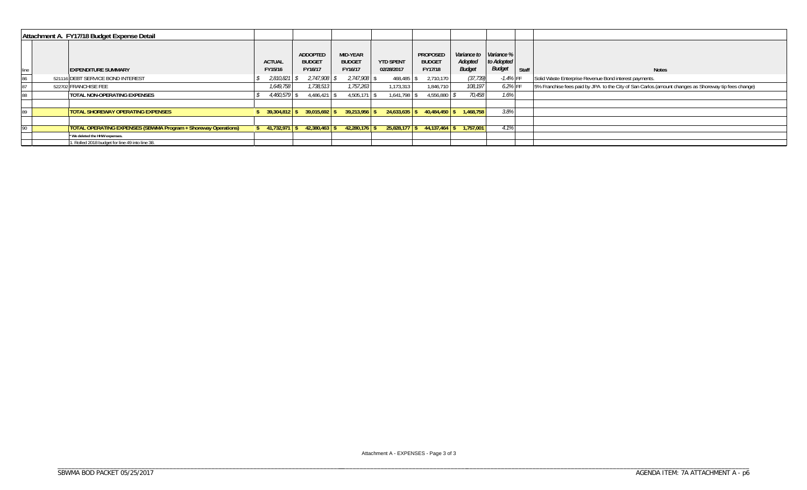| Attachment A. FY17/18 Budget Expense Detail |  |                                                                       |                          |                                      |                                      |                                |                                      |                                                    |                      |       |                                                                                                       |
|---------------------------------------------|--|-----------------------------------------------------------------------|--------------------------|--------------------------------------|--------------------------------------|--------------------------------|--------------------------------------|----------------------------------------------------|----------------------|-------|-------------------------------------------------------------------------------------------------------|
| line                                        |  | <b>EXPENDITURE SUMMARY</b>                                            | <b>ACTUAL</b><br>FY15/16 | ADDOPTED<br><b>BUDGET</b><br>FY16/17 | MID-YEAR<br><b>BUDGET</b><br>FY16/17 | <b>YTD SPENT</b><br>02/28/2017 | PROPOSED<br><b>BUDGET</b><br>FY17/18 | Variance to Variance %<br>Adopted<br><b>Budget</b> | to Adopted<br>Budget | Staff | <b>Notes</b>                                                                                          |
| 86                                          |  | 521116 DEBT SERVICE BOND INTEREST                                     | 2,810,821                | 2,747,908                            | 2,747,908                            | 468,485                        | 2,710,170                            | (37, 739)                                          | $-1.4%$ FF           |       | Solid Waste Enterprise Revenue Bond interest payments.                                                |
| 87                                          |  | 522702 FRANCHISE FEE                                                  | 1.649.758                | 1,738,513                            | 1,757,263                            | 1,173,313                      | 1.846.710                            | 108,197                                            | 6.2% FF              |       | 5% Franchise fees paid by JPA to the City of San Carlos. (amount changes as Shoreway tip fees change) |
|                                             |  | <b>TOTAL NON-OPERATING EXPENSES</b>                                   | $4,460,579$ \\$          | $4,486,421$ \\$                      | 4,505,171                            | 1,641,798                      | 4,556,880                            | 70,458                                             | 1.6%                 |       |                                                                                                       |
|                                             |  |                                                                       |                          |                                      |                                      |                                |                                      |                                                    |                      |       |                                                                                                       |
|                                             |  | <b>TOTAL SHOREWAY OPERATING EXPENSES</b>                              | $39,304,812$ \$          | $39.015.692$ \$                      | $39,213,956$ \$                      | $24.633.635$ \$                | 40.484.450 \$                        | 1.468.758                                          | 3.8%                 |       |                                                                                                       |
|                                             |  |                                                                       |                          |                                      |                                      |                                |                                      |                                                    |                      |       |                                                                                                       |
| 90                                          |  | <b>TOTAL OPERATING EXPENSES (SBWMA Program + Shoreway Operations)</b> | $41,732,971$ \$          | $42,380,463$ \$                      | $42,280,176$ \$                      |                                | $25,828,177$ \$44,137,464            | 1.757.001                                          | 4.1%                 |       |                                                                                                       |
|                                             |  | * We deleted the HHW expenses.                                        |                          |                                      |                                      |                                |                                      |                                                    |                      |       |                                                                                                       |
|                                             |  | 1. Rolled 2018 budget for line 49 into line 38.                       |                          |                                      |                                      |                                |                                      |                                                    |                      |       |                                                                                                       |

\_\_\_\_\_\_\_\_\_\_\_\_\_\_\_\_\_\_\_\_\_\_\_\_\_\_\_\_\_\_\_\_\_\_\_\_\_ \_\_\_\_\_\_\_\_\_\_\_\_\_\_\_\_\_\_\_\_\_\_\_\_\_\_\_\_\_\_\_\_\_\_\_\_\_\_\_\_\_\_\_\_\_\_\_\_\_\_\_\_\_\_\_\_\_\_\_\_\_\_\_\_\_\_\_\_\_\_\_\_\_\_\_\_\_\_\_\_\_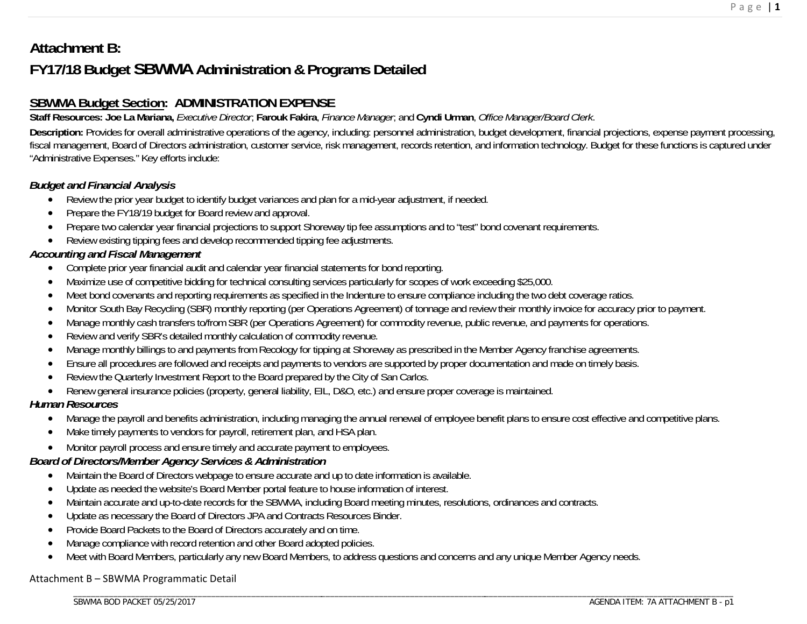# **Attachment B: FY17/18 Budget SBWMA Administration & Programs Detailed**

# **SBWMA Budget Section: ADMINISTRATION EXPENSE**

**Staff Resources: Joe La Mariana,** *Executive Director*; **Farouk Fakira**, *Finance Manager*; and **Cyndi Urman**, *Office Manager/Board Clerk*.

Description: Provides for overall administrative operations of the agency, including: personnel administration, budget development, financial projections, expense payment processing, fiscal management, Board of Directors administration, customer service, risk management, records retention, and information technology. Budget for these functions is captured under "Administrative Expenses." Key efforts include:

# *Budget and Financial Analysis*

- $\bullet$ Review the prior year budget to identify budget variances and plan for a mid-year adjustment, if needed.
- $\bullet$ Prepare the FY18/19 budget for Board review and approval.
- $\bullet$ Prepare two calendar year financial projections to support Shoreway tip fee assumptions and to "test" bond covenant requirements.
- $\bullet$ Review existing tipping fees and develop recommended tipping fee adjustments.

# *Accounting and Fiscal Management*

- $\bullet$ Complete prior year financial audit and calendar year financial statements for bond reporting.
- $\bullet$ Maximize use of competitive bidding for technical consulting services particularly for scopes of work exceeding \$25,000.
- $\bullet$ Meet bond covenants and reporting requirements as specified in the Indenture to ensure compliance including the two debt coverage ratios.
- $\bullet$ Monitor South Bay Recycling (SBR) monthly reporting (per Operations Agreement) of tonnage and review their monthly invoice for accuracy prior to payment.
- $\bullet$ Manage monthly cash transfers to/from SBR (per Operations Agreement) for commodity revenue, public revenue, and payments for operations.
- $\bullet$ Review and verify SBR's detailed monthly calculation of commodity revenue.
- $\bullet$ Manage monthly billings to and payments from Recology for tipping at Shoreway as prescribed in the Member Agency franchise agreements.
- $\bullet$ Ensure all procedures are followed and receipts and payments to vendors are supported by proper documentation and made on timely basis.
- $\bullet$ Review the Quarterly Investment Report to the Board prepared by the City of San Carlos.
- $\bullet$ Renew general insurance policies (property, general liability, EIL, D&O, etc.) and ensure proper coverage is maintained.

# *Human Resources*

- $\bullet$ Manage the payroll and benefits administration, including managing the annual renewal of employee benefit plans to ensure cost effective and competitive plans.
- $\bullet$ Make timely payments to vendors for payroll, retirement plan, and HSA plan.
- $\bullet$ Monitor payroll process and ensure timely and accurate payment to employees.

# *Board of Directors/Member Agency Services & Administration*

- $\bullet$ Maintain the Board of Directors webpage to ensure accurate and up to date information is available.
- $\bullet$ Update as needed the website's Board Member portal feature to house information of interest.
- $\bullet$ Maintain accurate and up-to-date records for the SBWMA, including Board meeting minutes, resolutions, ordinances and contracts.
- $\bullet$ Update as necessary the Board of Directors JPA and Contracts Resources Binder.
- $\bullet$ Provide Board Packets to the Board of Directors accurately and on time.
- $\bullet$ Manage compliance with record retention and other Board adopted policies.
- $\bullet$ Meet with Board Members, particularly any new Board Members, to address questions and concerns and any unique Member Agency needs.

## Attachment B – SBWMA Programmatic Detail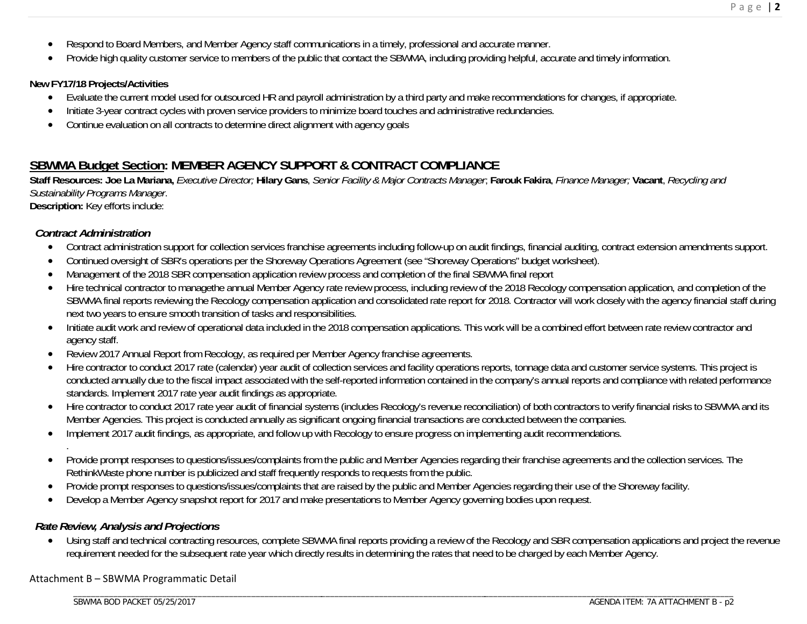- $\bullet$ Respond to Board Members, and Member Agency staff communications in a timely, professional and accurate manner.
- . Provide high quality customer service to members of the public that contact the SBWMA, including providing helpful, accurate and timely information.

#### **New FY17/18 Projects/Activities**

- $\bullet$ Evaluate the current model used for outsourced HR and payroll administration by a third party and make recommendations for changes, if appropriate.
- $\bullet$ Initiate 3-year contract cycles with proven service providers to minimize board touches and administrative redundancies.
- . Continue evaluation on all contracts to determine direct alignment with agency goals

# **SBWMA Budget Section: MEMBER AGENCY SUPPORT & CONTRACT COMPLIANCE**

**Staff Resources: Joe La Mariana,** *Executive Director;* **Hilary Gans**, *Senior Facility & Major Contracts Manager*; **Farouk Fakira**, *Finance Manager;* **Vacant**, *Recycling and Sustainability Programs Manager*.

**Description:** Key efforts include:

### *Contract Administration*

.

- $\bullet$ Contract administration support for collection services franchise agreements including follow-up on audit findings, financial auditing, contract extension amendments support.
- $\bullet$ Continued oversight of SBR's operations per the Shoreway Operations Agreement (see "Shoreway Operations" budget worksheet).
- $\bullet$ Management of the 2018 SBR compensation application review process and completion of the final SBWMA final report
- . Hire technical contractor to managethe annual Member Agency rate review process, including review of the 2018 Recology compensation application, and completion of the SBWMA final reports reviewing the Recology compensation application and consolidated rate report for 2018. Contractor will work closely with the agency financial staff during next two years to ensure smooth transition of tasks and responsibilities.
- $\bullet$  Initiate audit work and review of operational data included in the 2018 compensation applications. This work will be a combined effort between rate review contractor and agency staff.
- $\bullet$ Review 2017 Annual Report from Recology, as required per Member Agency franchise agreements.
- . Hire contractor to conduct 2017 rate (calendar) year audit of collection services and facility operations reports, tonnage data and customer service systems. This project is conducted annually due to the fiscal impact associated with the self-reported information contained in the company's annual reports and compliance with related performance standards. Implement 2017 rate year audit findings as appropriate.
- $\bullet$ Hire contractor to conduct 2017 rate year audit of financial systems (includes Recology's revenue reconciliation) of both contractors to verify financial risks to SBWMA and its Member Agencies. This project is conducted annually as significant ongoing financial transactions are conducted between the companies.
- $\bullet$ Implement 2017 audit findings, as appropriate, and follow up with Recology to ensure progress on implementing audit recommendations.
- $\bullet$  Provide prompt responses to questions/issues/complaints from the public and Member Agencies regarding their franchise agreements and the collection services. The RethinkWaste phone number is publicized and staff frequently responds to requests from the public.
- $\bullet$ Provide prompt responses to questions/issues/complaints that are raised by the public and Member Agencies regarding their use of the Shoreway facility.
- $\bullet$ Develop a Member Agency snapshot report for 2017 and make presentations to Member Agency governing bodies upon request.

### *Rate Review, Analysis and Projections*

 $\bullet$ Using staff and technical contracting resources, complete SBWMA final reports providing a review of the Recology and SBR compensation applications and project the revenue requirement needed for the subsequent rate year which directly results in determining the rates that need to be charged by each Member Agency.

\_\_\_\_\_\_\_\_\_\_\_\_\_\_\_\_\_\_\_\_\_\_\_\_\_\_\_\_\_\_\_\_\_\_\_\_\_ \_\_\_\_\_\_\_\_\_\_\_\_\_\_\_\_\_\_\_\_\_\_\_\_\_\_\_\_\_\_\_\_\_\_\_\_\_\_\_\_\_\_\_\_\_\_\_\_\_\_\_\_\_\_\_\_

#### Attachment B – SBWMA Programmatic Detail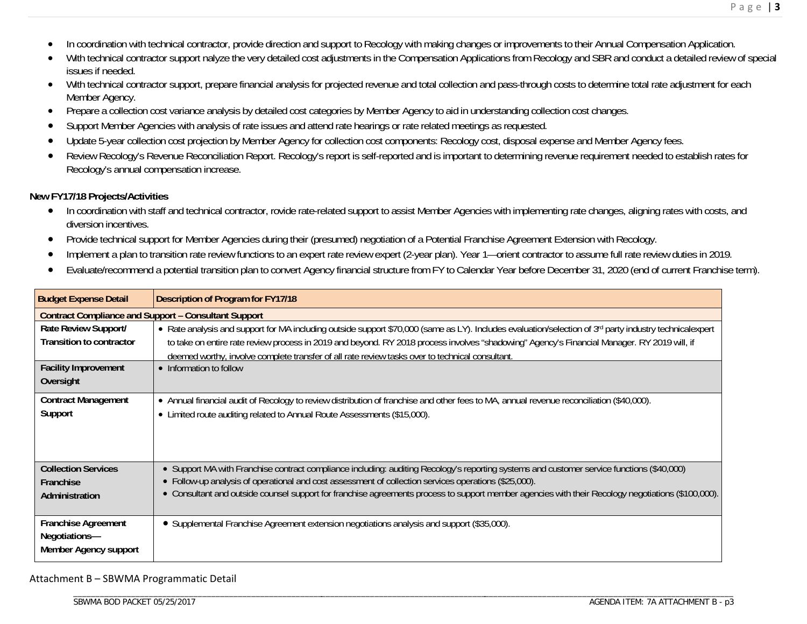- $\bullet$ In coordination with technical contractor, provide direction and support to Recology with making changes or improvements to their Annual Compensation Application.
- . With technical contractor support nalyze the very detailed cost adjustments in the Compensation Applications from Recology and SBR and conduct a detailed review of special issues if needed.
- $\bullet$ With technical contractor support, prepare financial analysis for projected revenue and total collection and pass-through costs to determine total rate adjustment for each Member Agency.
- $\bullet$ Prepare a collection cost variance analysis by detailed cost categories by Member Agency to aid in understanding collection cost changes.
- $\bullet$ Support Member Agencies with analysis of rate issues and attend rate hearings or rate related meetings as requested.
- $\bullet$ Update 5-year collection cost projection by Member Agency for collection cost components: Recology cost, disposal expense and Member Agency fees.
- $\bullet$  Review Recology's Revenue Reconciliation Report. Recology's report is self-reported and is important to determining revenue requirement needed to establish rates for Recology's annual compensation increase.

#### **New FY17/18 Projects/Activities**

- $\bullet$  In coordination with staff and technical contractor, rovide rate-related support to assist Member Agencies with implementing rate changes, aligning rates with costs, and diversion incentives.
- $\bullet$ Provide technical support for Member Agencies during their (presumed) negotiation of a Potential Franchise Agreement Extension with Recology.
- $\bullet$ Implement a plan to transition rate review functions to an expert rate review expert (2-year plan). Year 1—orient contractor to assume full rate review duties in 2019.
- $\bullet$ Evaluate/recommend a potential transition plan to convert Agency financial structure from FY to Calendar Year before December 31, 2020 (end of current Franchise term).

| <b>Budget Expense Detail</b>                                         | <b>Description of Program for FY17/18</b>                                                                                                                                                                                                                                                                          |
|----------------------------------------------------------------------|--------------------------------------------------------------------------------------------------------------------------------------------------------------------------------------------------------------------------------------------------------------------------------------------------------------------|
| <b>Contract Compliance and Support - Consultant Support</b>          |                                                                                                                                                                                                                                                                                                                    |
| Rate Review Support/<br><b>Transition to contractor</b>              | • Rate analysis and support for MA including outside support \$70,000 (same as LY). Includes evaluation/selection of 3 <sup>rd</sup> party industry technicalexpert<br>to take on entire rate review process in 2019 and beyond. RY 2018 process involves "shadowing" Agency's Financial Manager. RY 2019 will, if |
|                                                                      | deemed worthy, involve complete transfer of all rate review tasks over to technical consultant.                                                                                                                                                                                                                    |
| <b>Facility Improvement</b>                                          | • Information to follow                                                                                                                                                                                                                                                                                            |
| Oversight                                                            |                                                                                                                                                                                                                                                                                                                    |
| <b>Contract Management</b><br>Support                                | • Annual financial audit of Recology to review distribution of franchise and other fees to MA, annual revenue reconciliation (\$40,000).<br>• Limited route auditing related to Annual Route Assessments (\$15,000).                                                                                               |
| <b>Collection Services</b>                                           | • Support MA with Franchise contract compliance including: auditing Recology's reporting systems and customer service functions (\$40,000)                                                                                                                                                                         |
| Franchise                                                            | • Follow-up analysis of operational and cost assessment of collection services operations (\$25,000).                                                                                                                                                                                                              |
| Administration                                                       | • Consultant and outside counsel support for franchise agreements process to support member agencies with their Recology negotiations (\$100,000).                                                                                                                                                                 |
| <b>Franchise Agreement</b><br>Negotiations-<br>Member Agency support | • Supplemental Franchise Agreement extension negotiations analysis and support (\$35,000).                                                                                                                                                                                                                         |

#### Attachment B – SBWMA Programmatic Detail

\_\_\_\_\_\_\_\_\_\_\_\_\_\_\_\_\_\_\_\_\_\_\_\_\_\_\_\_\_\_\_\_\_\_\_\_\_\_\_\_\_\_\_\_\_\_\_\_\_\_\_\_\_\_\_\_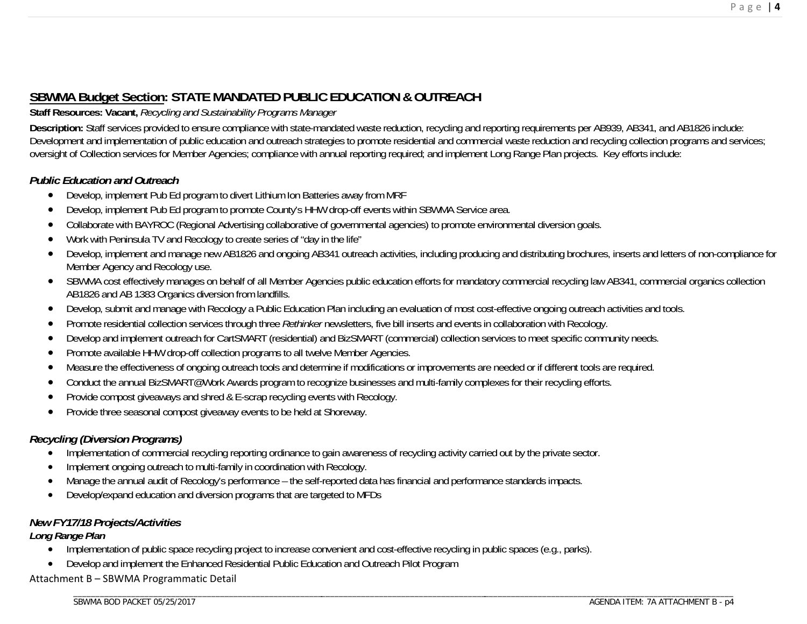# **SBWMA Budget Section: STATE MANDATED PUBLIC EDUCATION & OUTREACH**

#### **Staff Resources: Vacant,** *Recycling and Sustainability Programs Manager*

**Description:** Staff services provided to ensure compliance with state-mandated waste reduction, recycling and reporting requirements per AB939, AB341, and AB1826 include: Development and implementation of public education and outreach strategies to promote residential and commercial waste reduction and recycling collection programs and services; oversight of Collection services for Member Agencies; compliance with annual reporting required; and implement Long Range Plan projects. Key efforts include:

#### *Public Education and Outreach*

- $\bullet$ Develop, implement Pub Ed program to divert Lithium Ion Batteries away from MRF
- $\bullet$ Develop, implement Pub Ed program to promote County's HHW drop-off events within SBWMA Service area.
- $\bullet$ Collaborate with BAYROC (Regional Advertising collaborative of governmental agencies) to promote environmental diversion goals.
- $\bullet$ Work with Peninsula TV and Recology to create series of "day in the life"
- $\bullet$ Develop, implement and manage new AB1826 and ongoing AB341 outreach activities, including producing and distributing brochures, inserts and letters of non-compliance for Member Agency and Recology use.
- $\bullet$  SBWMA cost effectively manages on behalf of all Member Agencies public education efforts for mandatory commercial recycling law AB341, commercial organics collection AB1826 and AB 1383 Organics diversion from landfills.
- $\bullet$ Develop, submit and manage with Recology a Public Education Plan including an evaluation of most cost-effective ongoing outreach activities and tools.
- $\bullet$ Promote residential collection services through three *Rethinker* newsletters, five bill inserts and events in collaboration with Recology.
- $\bullet$ Develop and implement outreach for CartSMART (residential) and BizSMART (commercial) collection services to meet specific community needs.
- $\bullet$ Promote available HHW drop-off collection programs to all twelve Member Agencies.
- $\bullet$ Measure the effectiveness of ongoing outreach tools and determine if modifications or improvements are needed or if different tools are required.
- $\bullet$ Conduct the annual BizSMART@Work Awards program to recognize businesses and multi-family complexes for their recycling efforts.
- $\bullet$ Provide compost giveaways and shred & E-scrap recycling events with Recology.
- $\bullet$ Provide three seasonal compost giveaway events to be held at Shoreway.

### *Recycling (Diversion Programs)*

- $\bullet$ Implementation of commercial recycling reporting ordinance to gain awareness of recycling activity carried out by the private sector.
- $\bullet$ Implement ongoing outreach to multi-family in coordination with Recology.

\_\_\_\_\_\_\_\_\_\_\_\_\_\_\_\_\_\_\_\_\_\_\_\_\_\_\_\_\_\_\_\_\_\_\_\_\_\_\_\_\_\_\_\_\_\_\_\_\_\_\_\_\_\_\_\_

- $\bullet$ Manage the annual audit of Recology's performance – the self-reported data has financial and performance standards impacts.
- $\bullet$ Develop/expand education and diversion programs that are targeted to MFDs

### *New FY17/18 Projects/Activities*

#### *Long Range Plan*

- $\bullet$ Implementation of public space recycling project to increase convenient and cost-effective recycling in public spaces (e.g., parks).
- $\bullet$ Develop and implement the Enhanced Residential Public Education and Outreach Pilot Program

#### Attachment B – SBWMA Programmatic Detail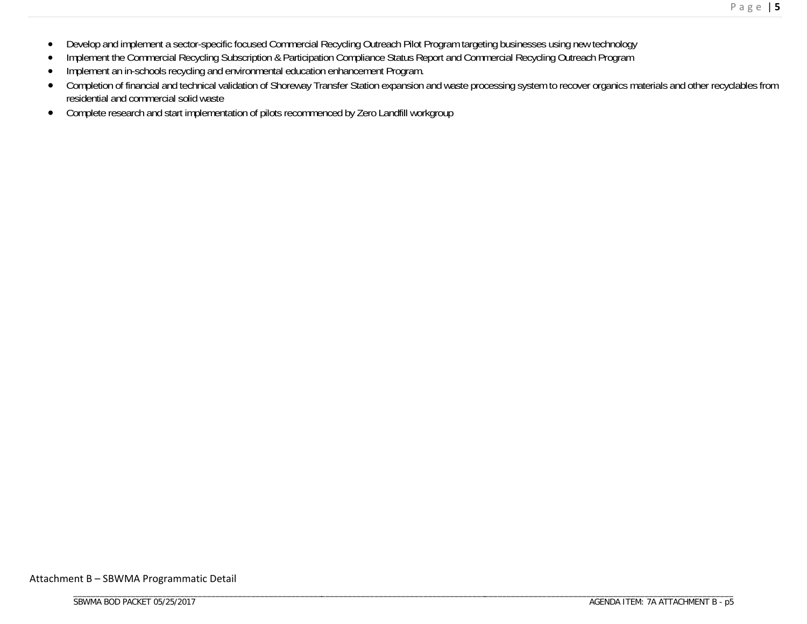- $\bullet$ Develop and implement a sector-specific focused Commercial Recycling Outreach Pilot Program targeting businesses using new technology
- $\bullet$ Implement the Commercial Recycling Subscription & Participation Compliance Status Report and Commercial Recycling Outreach Program
- $\bullet$ Implement an in-schools recycling and environmental education enhancement Program.
- $\bullet$  Completion of financial and technical validation of Shoreway Transfer Station expansion and waste processing system to recover organics materials and other recyclables from residential and commercial solid waste
- $\bullet$ Complete research and start implementation of pilots recommenced by Zero Landfill workgroup

Attachment B – SBWMA Programmatic Detail

\_\_\_\_\_\_\_\_\_\_\_\_\_\_\_\_\_\_\_\_\_\_\_\_\_\_\_\_\_\_\_\_\_\_\_\_\_\_\_\_\_\_\_\_\_\_\_\_\_\_\_\_\_\_\_\_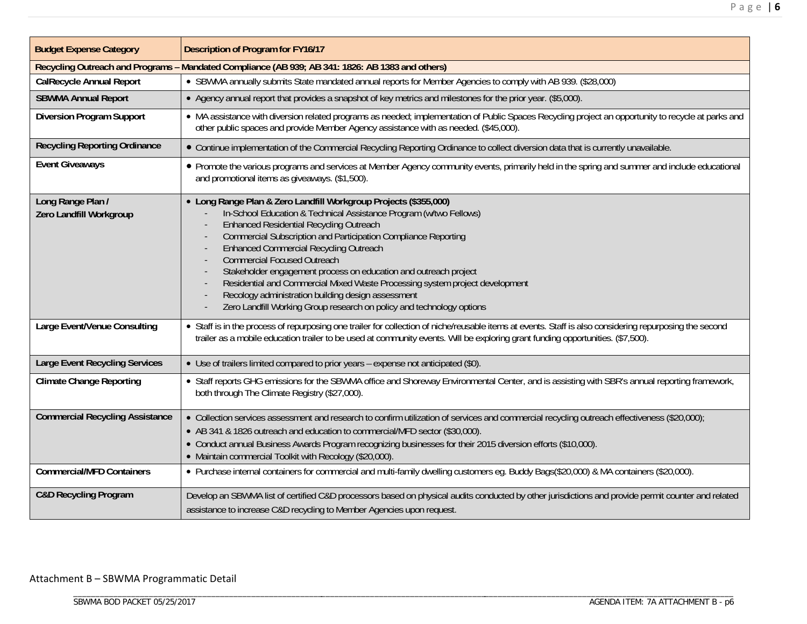| <b>Budget Expense Category</b>               | <b>Description of Program for FY16/17</b>                                                                                                                                                                                                                                                                                                                                                                                                                                                                                                                                                                                            |
|----------------------------------------------|--------------------------------------------------------------------------------------------------------------------------------------------------------------------------------------------------------------------------------------------------------------------------------------------------------------------------------------------------------------------------------------------------------------------------------------------------------------------------------------------------------------------------------------------------------------------------------------------------------------------------------------|
|                                              | Recycling Outreach and Programs - Mandated Compliance (AB 939; AB 341: 1826: AB 1383 and others)                                                                                                                                                                                                                                                                                                                                                                                                                                                                                                                                     |
| <b>CalRecycle Annual Report</b>              | • SBWMA annually submits State mandated annual reports for Member Agencies to comply with AB 939. (\$28,000)                                                                                                                                                                                                                                                                                                                                                                                                                                                                                                                         |
| <b>SBWMA Annual Report</b>                   | • Agency annual report that provides a snapshot of key metrics and milestones for the prior year. (\$5,000).                                                                                                                                                                                                                                                                                                                                                                                                                                                                                                                         |
| <b>Diversion Program Support</b>             | • MA assistance with diversion related programs as needed; implementation of Public Spaces Recycling project an opportunity to recycle at parks and<br>other public spaces and provide Member Agency assistance with as needed. (\$45,000).                                                                                                                                                                                                                                                                                                                                                                                          |
| <b>Recycling Reporting Ordinance</b>         | • Continue implementation of the Commercial Recycling Reporting Ordinance to collect diversion data that is currently unavailable.                                                                                                                                                                                                                                                                                                                                                                                                                                                                                                   |
| <b>Event Giveaways</b>                       | • Promote the various programs and services at Member Agency community events, primarily held in the spring and summer and include educational<br>and promotional items as giveaways. (\$1,500).                                                                                                                                                                                                                                                                                                                                                                                                                                     |
| Long Range Plan /<br>Zero Landfill Workgroup | • Long Range Plan & Zero Landfill Workgroup Projects (\$355,000)<br>In-School Education & Technical Assistance Program (w/two Fellows)<br><b>Enhanced Residential Recycling Outreach</b><br>Commercial Subscription and Participation Compliance Reporting<br><b>Enhanced Commercial Recycling Outreach</b><br><b>Commercial Focused Outreach</b><br>Stakeholder engagement process on education and outreach project<br>Residential and Commercial Mixed Waste Processing system project development<br>Recology administration building design assessment<br>Zero Landfill Working Group research on policy and technology options |
| Large Event/Venue Consulting                 | • Staff is in the process of repurposing one trailer for collection of niche/reusable items at events. Staff is also considering repurposing the second<br>trailer as a mobile education trailer to be used at community events. Will be exploring grant funding opportunities. (\$7,500).                                                                                                                                                                                                                                                                                                                                           |
| <b>Large Event Recycling Services</b>        | • Use of trailers limited compared to prior years - expense not anticipated (\$0).                                                                                                                                                                                                                                                                                                                                                                                                                                                                                                                                                   |
| <b>Climate Change Reporting</b>              | • Staff reports GHG emissions for the SBWMA office and Shoreway Environmental Center, and is assisting with SBR's annual reporting framework,<br>both through The Climate Registry (\$27,000).                                                                                                                                                                                                                                                                                                                                                                                                                                       |
| <b>Commercial Recycling Assistance</b>       | • Collection services assessment and research to confirm utilization of services and commercial recycling outreach effectiveness (\$20,000);<br>• AB 341 & 1826 outreach and education to commercial/MFD sector (\$30,000).<br>• Conduct annual Business Awards Program recognizing businesses for their 2015 diversion efforts (\$10,000).<br>• Maintain commercial Toolkit with Recology (\$20,000).                                                                                                                                                                                                                               |
| <b>Commercial/MFD Containers</b>             | • Purchase internal containers for commercial and multi-family dwelling customers eq. Buddy Bags(\$20,000) & MA containers (\$20,000).                                                                                                                                                                                                                                                                                                                                                                                                                                                                                               |
| <b>C&amp;D Recycling Program</b>             | Develop an SBWMA list of certified C&D processors based on physical audits conducted by other jurisdictions and provide permit counter and related<br>assistance to increase C&D recycling to Member Agencies upon request.                                                                                                                                                                                                                                                                                                                                                                                                          |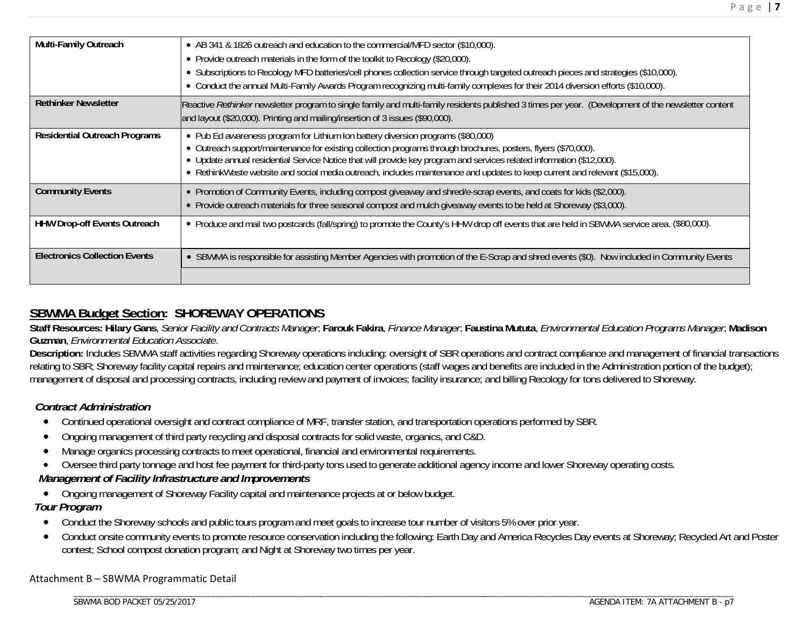| Multi-Family Outreach                | • AB 341 & 1826 outreach and education to the commercial/MFD sector (\$10,000).<br>• Provide outreach materials in the form of the toolkit to Recology (\$20,000).<br>• Subscriptions to Recology MFD batteries/cell phones collection service through targeted outreach pieces and strategies (\$10,000).<br>• Conduct the annual Multi-Family Awards Program recognizing multi-family complexes for their 2014 diversion efforts (\$10,000).             |
|--------------------------------------|------------------------------------------------------------------------------------------------------------------------------------------------------------------------------------------------------------------------------------------------------------------------------------------------------------------------------------------------------------------------------------------------------------------------------------------------------------|
|                                      |                                                                                                                                                                                                                                                                                                                                                                                                                                                            |
| <b>Rethinker Newsletter</b>          | Reactive Rethinker newsletter program to single family and multi-family residents published 3 times per year. (Development of the newsletter content<br>and layout (\$20,000). Printing and mailing/insertion of 3 issues (\$90,000).                                                                                                                                                                                                                      |
| <b>Residential Outreach Programs</b> | • Pub Ed awareness program for Lithium Ion battery diversion programs (\$80,000)<br>• Outreach support/maintenance for existing collection programs through brochures, posters, flyers (\$70,000).<br>• Update annual residential Service Notice that will provide key program and services related information (\$12,000).<br>• RethinkWaste website and social media outreach, includes maintenance and updates to keep current and relevant (\$15,000). |
| <b>Community Events</b>              | • Promotion of Community Events, including compost giveaway and shred/e-scrap events, and coats for kids (\$2,000).<br>• Provide outreach materials for three seasonal compost and mulch giveaway events to be held at Shoreway (\$3,000).                                                                                                                                                                                                                 |
| <b>HHW Drop-off Events Outreach</b>  | • Produce and mail two postcards (fall/spring) to promote the County's HHW drop off events that are held in SBWMA service area. (\$80,000).                                                                                                                                                                                                                                                                                                                |
| <b>Electronics Collection Events</b> | • SBWMA is responsible for assisting Member Agencies with promotion of the E-Scrap and shred events (\$0). Now included in Community Events                                                                                                                                                                                                                                                                                                                |
|                                      |                                                                                                                                                                                                                                                                                                                                                                                                                                                            |

# **SBWMA Budget Section: SHOREWAY OPERATIONS**

**Staff Resources: Hilary Gans**, *Senior Facility and Contracts Manager*; **Farouk Fakira**, *Finance Manager*; **Faustina Mututa**, *Environmental Education Programs Manager*; **Madison Guzman**, *Environmental Education Associate*.

**Description:** Includes SBWMA staff activities regarding Shoreway operations including: oversight of SBR operations and contract compliance and management of financial transactions relating to SBR; Shoreway facility capital repairs and maintenance; education center operations (staff wages and benefits are included in the Administration portion of the budget); management of disposal and processing contracts, including review and payment of invoices; facility insurance; and billing Recology for tons delivered to Shoreway.

### *Contract Administration*

- Continued operational oversight and contract compliance of MRF, transfer station, and transportation operations performed by SBR.
- 0 Ongoing management of third party recycling and disposal contracts for solid waste, organics, and C&D.
- . Manage organics processing contracts to meet operational, financial and environmental requirements.
- $\bullet$ Oversee third party tonnage and host fee payment for third-party tons used to generate additional agency income and lower Shoreway operating costs.

## *Management of Facility Infrastructure and Improvements*

\_\_\_\_\_\_\_\_\_\_\_\_\_\_\_\_\_\_\_\_\_\_\_\_\_\_\_\_\_\_\_\_\_\_\_\_\_\_\_\_\_\_\_\_\_\_\_\_\_\_\_\_\_\_\_\_

 $\bullet$ Ongoing management of Shoreway Facility capital and maintenance projects at or below budget.

### *Tour Program*

- $\bullet$ Conduct the Shoreway schools and public tours program and meet goals to increase tour number of visitors 5% over prior year.
- $\bullet$  Conduct onsite community events to promote resource conservation including the following: Earth Day and America Recycles Day events at Shoreway; Recycled Art and Poster contest; School compost donation program; and Night at Shoreway two times per year.

\_\_\_\_\_\_\_\_\_\_\_\_\_\_\_\_\_\_\_\_\_\_\_\_\_\_\_\_\_\_\_\_\_\_\_\_\_ \_\_\_\_\_\_\_\_\_\_\_\_\_\_\_\_\_\_\_\_\_\_\_\_\_\_\_\_\_\_\_\_\_\_\_\_\_\_\_\_\_\_\_\_\_\_\_\_\_\_\_\_\_\_\_\_

#### Attachment B – SBWMA Programmatic Detail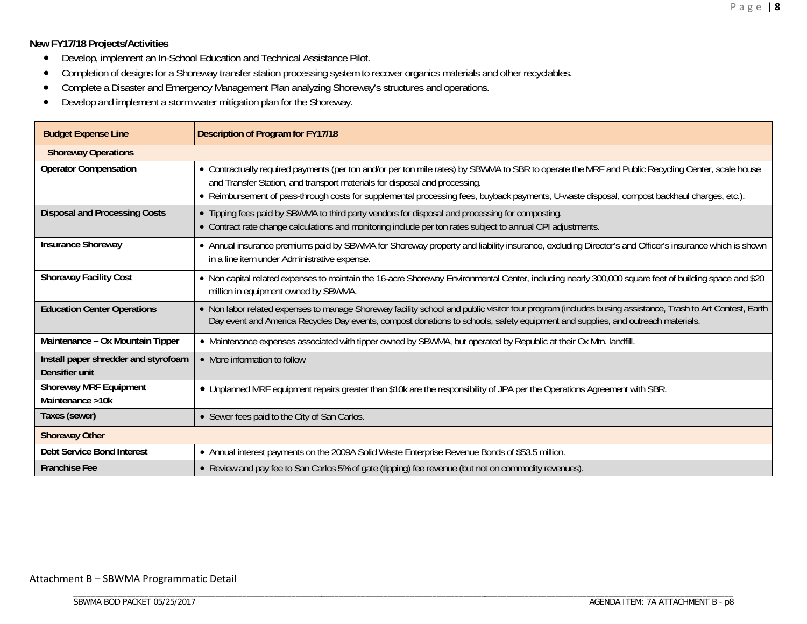#### **New FY17/18 Projects/Activities**

- Develop, implement an In-School Education and Technical Assistance Pilot.
- $\bullet$ Completion of designs for a Shoreway transfer station processing system to recover organics materials and other recyclables.
- $\bullet$ Complete a Disaster and Emergency Management Plan analyzing Shoreway's structures and operations.
- $\bullet$ Develop and implement a storm water mitigation plan for the Shoreway.

| <b>Budget Expense Line</b>                             | <b>Description of Program for FY17/18</b>                                                                                                                                                                                                                                                                                                                                       |
|--------------------------------------------------------|---------------------------------------------------------------------------------------------------------------------------------------------------------------------------------------------------------------------------------------------------------------------------------------------------------------------------------------------------------------------------------|
| <b>Shoreway Operations</b>                             |                                                                                                                                                                                                                                                                                                                                                                                 |
| <b>Operator Compensation</b>                           | • Contractually required payments (per ton and/or per ton mile rates) by SBWMA to SBR to operate the MRF and Public Recycling Center, scale house<br>and Transfer Station, and transport materials for disposal and processing.<br>- Reimbursement of pass-through costs for supplemental processing fees, buyback payments, U-waste disposal, compost backhaul charges, etc.). |
| <b>Disposal and Processing Costs</b>                   | • Tipping fees paid by SBWMA to third party vendors for disposal and processing for composting.<br>• Contract rate change calculations and monitoring include per ton rates subject to annual CPI adjustments.                                                                                                                                                                  |
| <b>Insurance Shoreway</b>                              | • Annual insurance premiums paid by SBWMA for Shoreway property and liability insurance, excluding Director's and Officer's insurance which is shown<br>in a line item under Administrative expense.                                                                                                                                                                            |
| <b>Shoreway Facility Cost</b>                          | • Non capital related expenses to maintain the 16-acre Shoreway Environmental Center, including nearly 300,000 square feet of building space and \$20<br>million in equipment owned by SBWMA.                                                                                                                                                                                   |
| <b>Education Center Operations</b>                     | . Non labor related expenses to manage Shoreway facility school and public visitor tour program (includes busing assistance, Trash to Art Contest, Earth<br>Day event and America Recycles Day events, compost donations to schools, safety equipment and supplies, and outreach materials.                                                                                     |
| Maintenance - Ox Mountain Tipper                       | • Maintenance expenses associated with tipper owned by SBWMA, but operated by Republic at their Ox Mtn. landfill.                                                                                                                                                                                                                                                               |
| Install paper shredder and styrofoam<br>Densifier unit | • More information to follow                                                                                                                                                                                                                                                                                                                                                    |
| <b>Shoreway MRF Equipment</b><br>Maintenance >10k      | • Unplanned MRF equipment repairs greater than \$10k are the responsibility of JPA per the Operations Agreement with SBR.                                                                                                                                                                                                                                                       |
| Taxes (sewer)                                          | • Sewer fees paid to the City of San Carlos.                                                                                                                                                                                                                                                                                                                                    |
| <b>Shoreway Other</b>                                  |                                                                                                                                                                                                                                                                                                                                                                                 |
| <b>Debt Service Bond Interest</b>                      | • Annual interest payments on the 2009A Solid Waste Enterprise Revenue Bonds of \$53.5 million.                                                                                                                                                                                                                                                                                 |
| <b>Franchise Fee</b>                                   | • Review and pay fee to San Carlos 5% of gate (tipping) fee revenue (but not on commodity revenues).                                                                                                                                                                                                                                                                            |

#### Attachment B – SBWMA Programmatic Detail

\_\_\_\_\_\_\_\_\_\_\_\_\_\_\_\_\_\_\_\_\_\_\_\_\_\_\_\_\_\_\_\_\_\_\_\_\_\_\_\_\_\_\_\_\_\_\_\_\_\_\_\_\_\_\_\_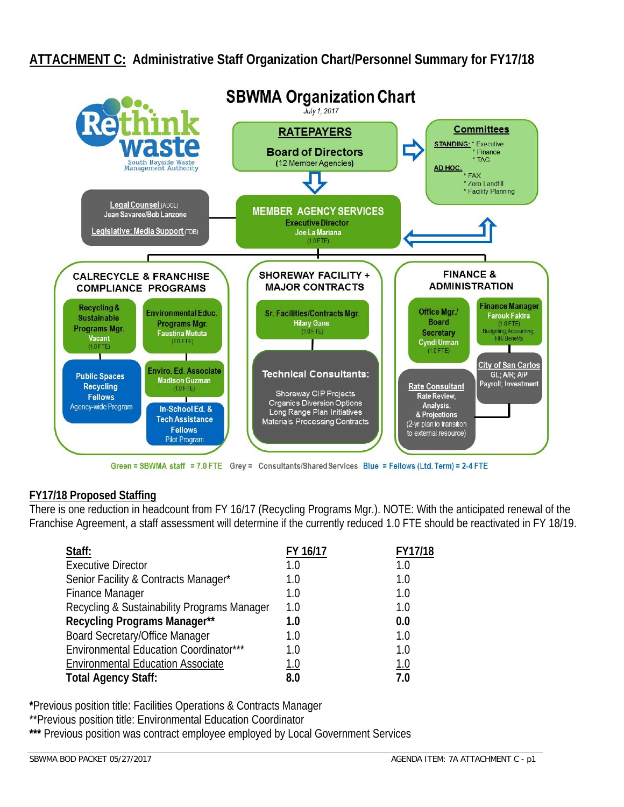# **ATTACHMENT C: Administrative Staff Organization Chart/Personnel Summary for FY17/18**



Green = SBWMA staff = 7.0 FTE Grey = Consultants/Shared Services Blue = Fellows (Ltd. Term) = 2-4 FTE

### **FY17/18 Proposed Staffing**

There is one reduction in headcount from FY 16/17 (Recycling Programs Mgr.). NOTE: With the anticipated renewal of the Franchise Agreement, a staff assessment will determine if the currently reduced 1.0 FTE should be reactivated in FY 18/19.

| Staff:                                      | FY 16/17    | FY17/18    |
|---------------------------------------------|-------------|------------|
| <b>Executive Director</b>                   | 1.0         | 1.0        |
| Senior Facility & Contracts Manager*        | 1.0         | 1.0        |
| <b>Finance Manager</b>                      | 1.0         | 1.0        |
| Recycling & Sustainability Programs Manager | 1.0         | 1.0        |
| <b>Recycling Programs Manager**</b>         | 1.0         | 0.0        |
| <b>Board Secretary/Office Manager</b>       | 1.0         | 1.0        |
| Environmental Education Coordinator***      | 1.0         | 1.0        |
| <b>Environmental Education Associate</b>    | <u> 1.0</u> | <u>1.0</u> |
| <b>Total Agency Staff:</b>                  | 8.0         | 7.0        |

**\***Previous position title: Facilities Operations & Contracts Manager

\*\*Previous position title: Environmental Education Coordinator

\*\*\* Previous position was contract employee employed by Local Government Services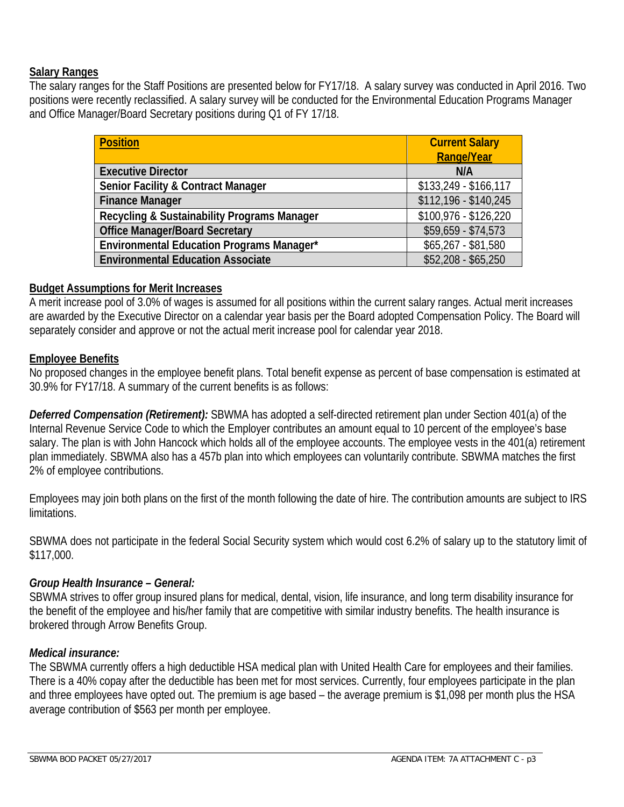### **Salary Ranges**

The salary ranges for the Staff Positions are presented below for FY17/18. A salary survey was conducted in April 2016. Two positions were recently reclassified. A salary survey will be conducted for the Environmental Education Programs Manager and Office Manager/Board Secretary positions during Q1 of FY 17/18.

| <b>Position</b>                                  | <b>Current Salary</b><br><b>Range/Year</b> |
|--------------------------------------------------|--------------------------------------------|
| <b>Executive Director</b>                        | N/A                                        |
| <b>Senior Facility &amp; Contract Manager</b>    | \$133,249 - \$166,117                      |
| <b>Finance Manager</b>                           | \$112,196 - \$140,245                      |
| Recycling & Sustainability Programs Manager      | $$100,976 - $126,220$                      |
| <b>Office Manager/Board Secretary</b>            | $$59,659 - $74,573$                        |
| <b>Environmental Education Programs Manager*</b> | $$65,267 - $81,580$                        |
| <b>Environmental Education Associate</b>         | $$52,208 - $65,250$                        |

#### **Budget Assumptions for Merit Increases**

A merit increase pool of 3.0% of wages is assumed for all positions within the current salary ranges. Actual merit increases are awarded by the Executive Director on a calendar year basis per the Board adopted Compensation Policy. The Board will separately consider and approve or not the actual merit increase pool for calendar year 2018.

#### **Employee Benefits**

No proposed changes in the employee benefit plans. Total benefit expense as percent of base compensation is estimated at 30.9% for FY17/18. A summary of the current benefits is as follows:

*Deferred Compensation (Retirement):* SBWMA has adopted a self-directed retirement plan under Section 401(a) of the Internal Revenue Service Code to which the Employer contributes an amount equal to 10 percent of the employee's base salary. The plan is with John Hancock which holds all of the employee accounts. The employee vests in the 401(a) retirement plan immediately. SBWMA also has a 457b plan into which employees can voluntarily contribute. SBWMA matches the first 2% of employee contributions.

Employees may join both plans on the first of the month following the date of hire. The contribution amounts are subject to IRS limitations.

SBWMA does not participate in the federal Social Security system which would cost 6.2% of salary up to the statutory limit of \$117,000.

### *Group Health Insurance – General:*

SBWMA strives to offer group insured plans for medical, dental, vision, life insurance, and long term disability insurance for the benefit of the employee and his/her family that are competitive with similar industry benefits. The health insurance is brokered through Arrow Benefits Group.

### *Medical insurance:*

The SBWMA currently offers a high deductible HSA medical plan with United Health Care for employees and their families. There is a 40% copay after the deductible has been met for most services. Currently, four employees participate in the plan and three employees have opted out. The premium is age based – the average premium is \$1,098 per month plus the HSA average contribution of \$563 per month per employee.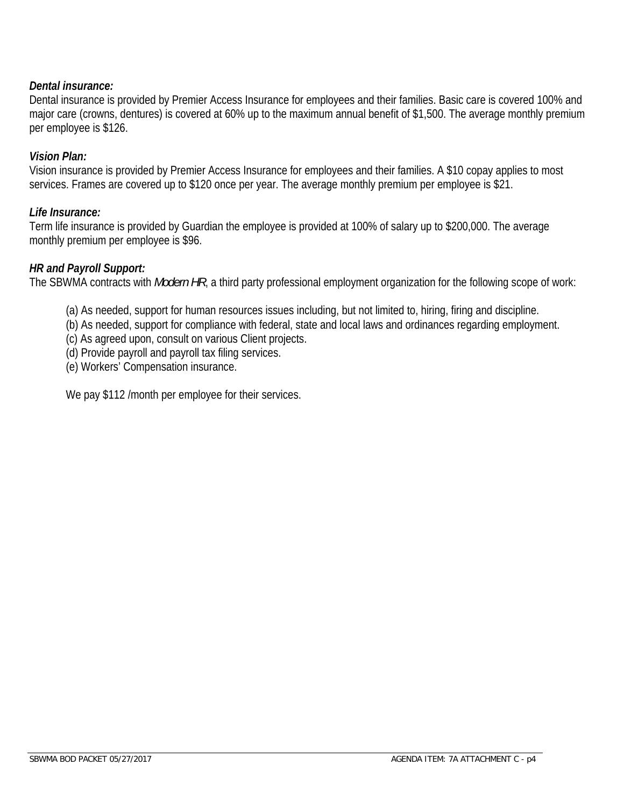### *Dental insurance:*

Dental insurance is provided by Premier Access Insurance for employees and their families. Basic care is covered 100% and major care (crowns, dentures) is covered at 60% up to the maximum annual benefit of \$1,500. The average monthly premium per employee is \$126.

### *Vision Plan:*

Vision insurance is provided by Premier Access Insurance for employees and their families. A \$10 copay applies to most services. Frames are covered up to \$120 once per year. The average monthly premium per employee is \$21.

#### *Life Insurance:*

Term life insurance is provided by Guardian the employee is provided at 100% of salary up to \$200,000. The average monthly premium per employee is \$96.

#### *HR and Payroll Support:*

The SBWMA contracts with *Modern HR*, a third party professional employment organization for the following scope of work:

- (a) As needed, support for human resources issues including, but not limited to, hiring, firing and discipline.
- (b) As needed, support for compliance with federal, state and local laws and ordinances regarding employment.
- (c) As agreed upon, consult on various Client projects.
- (d) Provide payroll and payroll tax filing services.
- (e) Workers' Compensation insurance.

We pay \$112 / month per employee for their services.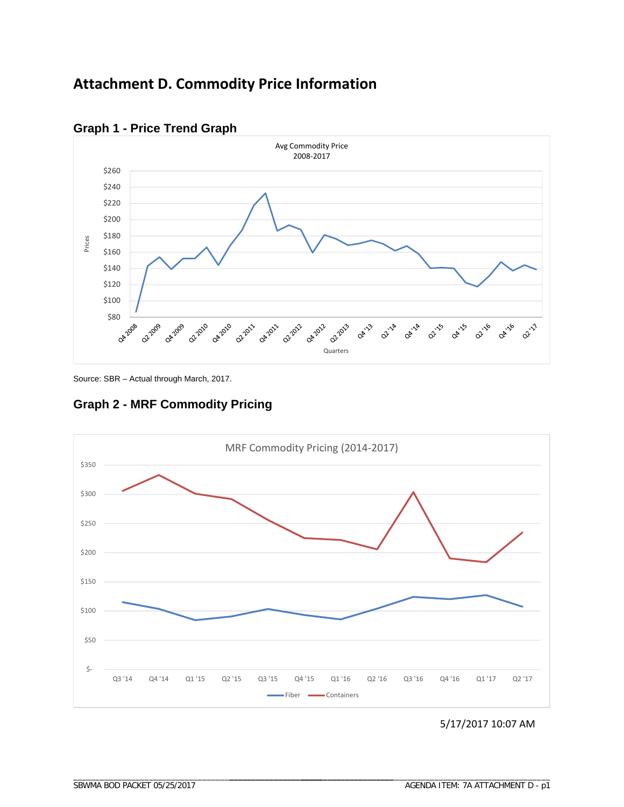# **Attachment D. Commodity Price Information**



# **Graph 1 - Price Trend Graph**

Source: SBR – Actual through March, 2017.

**Graph 2 - MRF Commodity Pricing** 



5/17/2017 10:07 AM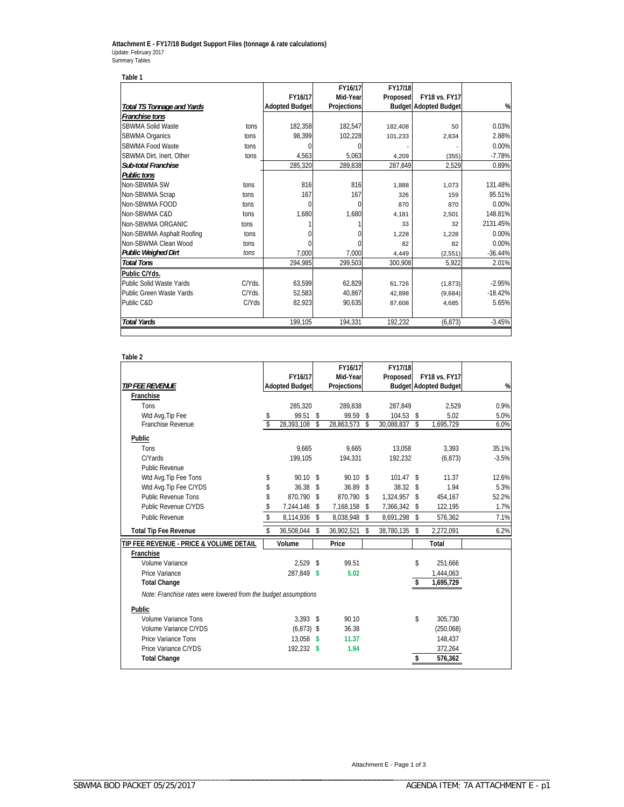#### **Attachment E - FY17/18 Budget Support Files (tonnage & rate calculations)** Update: February 2017 Summary Tables

| Table 1                           |          |                       |             |          |                              |           |
|-----------------------------------|----------|-----------------------|-------------|----------|------------------------------|-----------|
|                                   |          |                       | FY16/17     | FY17/18  |                              |           |
|                                   |          | FY16/17               | Mid-Year    | Proposed | <b>FY18 vs. FY17</b>         |           |
| <b>Total TS Tonnage and Yards</b> |          | <b>Adopted Budget</b> | Projections |          | <b>Budget Adopted Budget</b> | %         |
| Franchise tons                    |          |                       |             |          |                              |           |
| SBWMA Solid Waste                 | tons     | 182,358               | 182,547     | 182,408  | 50                           | 0.03%     |
| SBWMA Organics                    | tons     | 98,399                | 102,228     | 101,233  | 2,834                        | 2.88%     |
| SBWMA Food Waste                  | tons     | $\Omega$              |             |          |                              | $0.00\%$  |
| SBWMA Dirt. Inert. Other          | tons     | 4,563                 | 5,063       | 4,209    | (355)                        | $-7.78%$  |
| <b>Sub-total Franchise</b>        |          | 285,320               | 289,838     | 287,849  | 2,529                        | 0.89%     |
| <b>Public tons</b>                |          |                       |             |          |                              |           |
| Non-SBWMA SW                      | tons     | 816                   | 816         | 1,888    | 1,073                        | 131.48%   |
| Non-SBWMA Scrap                   | tons     | 167                   | 167         | 326      | 159                          | 95.51%    |
| Non-SBWMA FOOD                    | tons     | $\Omega$              |             | 870      | 870                          | $0.00\%$  |
| Non-SBWMA C&D                     | tons     | 1,680                 | 1,680       | 4,181    | 2,501                        | 148.81%   |
| Non-SBWMA ORGANIC                 | tons     |                       |             | 33       | 32                           | 2131.45%  |
| Non-SBWMA Asphalt Roofing         | tons     |                       |             | 1.228    | 1,228                        | $0.00\%$  |
| Non-SBWMA Clean Wood              | tons     |                       |             | 82       | 82                           | $0.00\%$  |
| <b>Public Weighed Dirt</b>        | tons     | 7,000                 | 7,000       | 4,449    | (2,551)                      | $-36.44%$ |
| <b>Total Tons</b>                 |          | 294,985               | 299,503     | 300,908  | 5,922                        | 2.01%     |
| Public C/Yds.                     |          |                       |             |          |                              |           |
| Public Solid Waste Yards          | C/Yds.   | 63,599                | 62,829      | 61,726   | (1, 873)                     | $-2.95%$  |
| Public Green Waste Yards          | C/Yds.   | 52.583                | 40,867      | 42.898   | (9,684)                      | $-18.42%$ |
| Public C&D                        | $C/N$ ds | 82,923                | 90,635      | 87,608   | 4,685                        | 5.65%     |
| <b>Total Yards</b>                |          | 199,105               | 194,331     | 192,232  | (6, 873)                     | $-3.45%$  |

#### **Table 2**

|                                                                |                         |                       |               | FY16/17     | FY17/18            |     |                              |         |
|----------------------------------------------------------------|-------------------------|-----------------------|---------------|-------------|--------------------|-----|------------------------------|---------|
|                                                                |                         | FY16/17               |               | Mid-Year    | Proposed           |     | FY18 vs. FY17                |         |
| <b>TIP FEE REVENUE</b>                                         |                         | <b>Adopted Budget</b> |               | Projections |                    |     | <b>Budget Adopted Budget</b> | %       |
| Franchise                                                      |                         |                       |               |             |                    |     |                              |         |
| Tons                                                           |                         | 285.320               |               | 289.838     | 287.849            |     | 2.529                        | 0.9%    |
| Wtd Avg. Tip Fee                                               | S.                      | 99.51                 | -S            | 99.59 \$    | $104.53$ \$        |     | 5.02                         | 5.0%    |
| <b>Franchise Revenue</b>                                       | $\overline{\mathbf{s}}$ | 28,393,108            | <sup>\$</sup> | 28,863,573  | \$<br>30,088,837   | \$  | 1,695,729                    | 6.0%    |
| Public                                                         |                         |                       |               |             |                    |     |                              |         |
| Tons                                                           |                         | 9.665                 |               | 9.665       | 13.058             |     | 3.393                        | 35.1%   |
| C/Yards                                                        |                         | 199.105               |               | 194.331     | 192.232            |     | (6, 873)                     | $-3.5%$ |
| Public Revenue                                                 |                         |                       |               |             |                    |     |                              |         |
| Wtd Avg. Tip Fee Tons                                          | \$                      | $90.10$ \$            |               | $90.10$ \$  | 101.47             | \$  | 11.37                        | 12.6%   |
| Wtd Avg. Tip Fee C/YDS                                         | \$                      | 36.38                 | -S            | 36.89       | \$<br>38.32 S      |     | 1.94                         | 5.3%    |
| Public Revenue Tons                                            | \$                      | 870.790               | $\mathcal{S}$ | 870,790     | \$<br>1,324,957 \$ |     | 454,167                      | 52.2%   |
| Public Revenue C/YDS                                           | \$                      | 7,244,146             | - \$          | 7,168,158   | \$<br>7,366,342 \$ |     | 122,195                      | 1.7%    |
| <b>Public Revenue</b>                                          | \$                      | 8,114,936 \$          |               | 8,038,948   | \$<br>8,691,298    | -\$ | 576,362                      | 7.1%    |
| <b>Total Tip Fee Revenue</b>                                   | \$                      | 36,508,044            | \$            | 36,902,521  | \$<br>38,780,135   | \$  | 2,272,091                    | 6.2%    |
| TIP FEE REVENUE - PRICE & VOLUME DETAIL                        |                         | Volume                |               | Price       |                    |     | Total                        |         |
| Franchise                                                      |                         |                       |               |             |                    |     |                              |         |
| Volume Variance                                                |                         | $2.529$ \$            |               | 99.51       |                    | \$  | 251,666                      |         |
| Price Variance                                                 |                         | 287.849               | -\$           | 5.02        |                    |     | 1,444,063                    |         |
| <b>Total Change</b>                                            |                         |                       |               |             |                    | \$  | 1,695,729                    |         |
| Note: Franchise rates were lowered from the budget assumptions |                         |                       |               |             |                    |     |                              |         |
| Public                                                         |                         |                       |               |             |                    |     |                              |         |
| Volume Variance Tons                                           |                         | $3.393$ \$            |               | 90.10       |                    | \$  | 305,730                      |         |
| Volume Variance C/YDS                                          |                         | $(6.873)$ \$          |               | 36.38       |                    |     | (250,068)                    |         |
| <b>Price Variance Tons</b>                                     |                         | 13.058                | - \$          | 11.37       |                    |     | 148,437                      |         |
| Price Variance C/YDS                                           |                         | 192,232               | $\mathbf{s}$  | 1.94        |                    |     | 372,264                      |         |
| <b>Total Change</b>                                            |                         |                       |               |             |                    | S   | 576,362                      |         |
|                                                                |                         |                       |               |             |                    |     |                              |         |

Attachment E - Page 1 of 3 \_\_\_\_\_\_\_\_\_\_\_\_\_\_\_\_\_\_\_\_\_\_\_\_\_\_\_\_\_\_\_\_\_\_\_\_\_ \_\_\_\_\_\_\_\_\_\_\_\_\_\_\_\_\_\_\_\_\_\_\_\_\_\_\_\_\_\_\_\_\_\_\_\_\_\_\_\_\_\_\_\_\_\_\_\_\_\_\_\_\_\_\_\_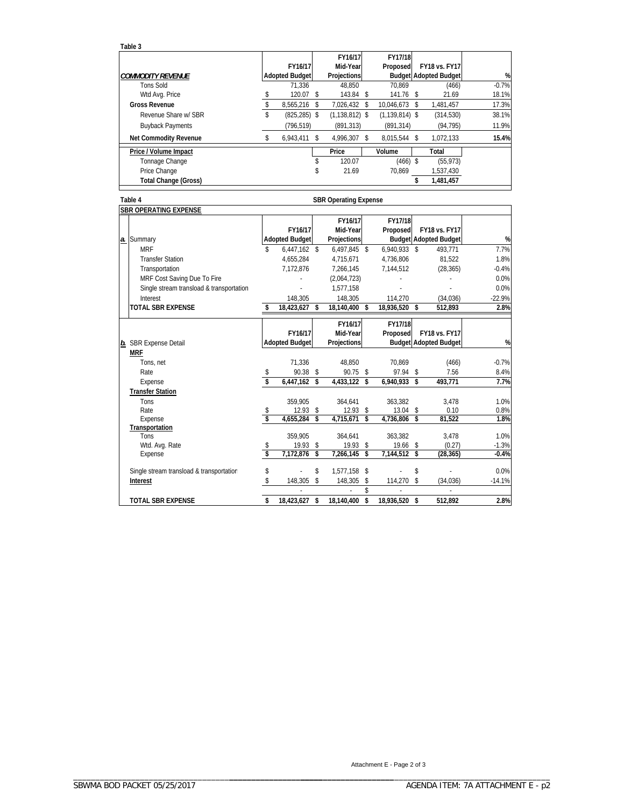**Table 3**

|                              | FY16/17               |    | FY16/17<br>Mid-Year | FY17/18<br>Proposed |     | <b>FY18 vs. FY17</b>         |         |
|------------------------------|-----------------------|----|---------------------|---------------------|-----|------------------------------|---------|
| <b>COMMODITY REVENUE</b>     | <b>Adopted Budget</b> |    | Projections         |                     |     | <b>Budget Adopted Budget</b> | %       |
| <b>Tons Sold</b>             | 71.336                |    | 48.850              | 70.869              |     | (466)                        | $-0.7%$ |
| Wtd Avg. Price               | 120.07                | S  | 143.84 \$           | $141.76$ \$         |     | 21.69                        | 18.1%   |
| <b>Gross Revenue</b>         | 8.565.216             | S  | 7.026.432 \$        | 10.046.673          | S   | 1.481.457                    | 17.3%   |
| Revenue Share w/ SBR         | \$<br>$(825, 285)$ \$ |    | $(1, 138, 812)$ \$  | $(1, 139, 814)$ \$  |     | (314, 530)                   | 38.1%   |
| <b>Buyback Payments</b>      | (796.519)             |    | (891.313)           | (891.314)           |     | (94, 795)                    | 11.9%   |
| <b>Net Commodity Revenue</b> | 6.943.411             | \$ | 4.996.307 \$        | 8.015.544           | \$. | 1.072.133                    | 15.4%   |
| Price / Volume Impact        |                       |    | Price               | Volume              |     | Total                        |         |
| Tonnage Change               |                       |    | 120.07              | $(466)$ \$          |     | (55, 973)                    |         |
| Price Change                 |                       |    | 21.69               | 70.869              |     | 1.537.430                    |         |
| <b>Total Change (Gross)</b>  |                       |    |                     |                     |     | 1,481,457                    |         |

| Table 4   |                                          |    | <b>SBR Operating Expense</b> |                         |                     |    |                     |     |                                                      |          |  |  |
|-----------|------------------------------------------|----|------------------------------|-------------------------|---------------------|----|---------------------|-----|------------------------------------------------------|----------|--|--|
|           | <b>SBR OPERATING EXPENSE</b>             |    |                              |                         |                     |    |                     |     |                                                      |          |  |  |
|           |                                          |    | FY16/17                      |                         | FY16/17<br>Mid-Year |    | FY17/18<br>Proposed |     | <b>FY18 vs. FY17</b><br><b>Budget Adopted Budget</b> | %        |  |  |
|           | a. Summary<br><b>MRF</b>                 |    | <b>Adopted Budget</b>        |                         | Projections         |    |                     |     |                                                      | 7.7%     |  |  |
|           |                                          | \$ | $6,447,162$ \$               |                         | 6,497,845 \$        |    | 6,940,933 \$        |     | 493,771                                              |          |  |  |
|           | <b>Transfer Station</b>                  |    | 4.655.284                    |                         | 4,715,671           |    | 4.736.806           |     | 81.522                                               | 1.8%     |  |  |
|           | Transportation                           |    | 7.172.876                    |                         | 7,266,145           |    | 7,144,512           |     | (28, 365)                                            | $-0.4%$  |  |  |
|           | MRF Cost Saving Due To Fire              |    |                              |                         | (2,064,723)         |    |                     |     |                                                      | 0.0%     |  |  |
|           | Single stream transload & transportation |    |                              |                         | 1,577,158           |    |                     |     |                                                      | 0.0%     |  |  |
|           | Interest                                 |    | 148,305                      |                         | 148,305             |    | 114,270             |     | (34,036)                                             | $-22.9%$ |  |  |
|           | <b>TOTAL SBR EXPENSE</b>                 | \$ | 18,423,627                   | $\mathbf{\hat{s}}$      | 18,140,400          | \$ | 18,936,520 \$       |     | 512,893                                              | 2.8%     |  |  |
|           |                                          |    |                              |                         |                     |    |                     |     |                                                      |          |  |  |
|           |                                          |    | FY16/17                      |                         | FY16/17             |    | FY17/18             |     |                                                      |          |  |  |
|           |                                          |    |                              |                         | Mid-Year            |    | Proposed            |     | <b>FY18 vs. FY17</b>                                 | %        |  |  |
| <u>b.</u> | <b>SBR Expense Detail</b>                |    | <b>Adopted Budget</b>        |                         | Projections         |    |                     |     | <b>Budget Adopted Budget</b>                         |          |  |  |
|           | <b>MRF</b>                               |    |                              |                         |                     |    |                     |     |                                                      |          |  |  |
|           | Tons, net                                |    | 71,336                       |                         | 48,850              |    | 70,869              |     | (466)                                                | $-0.7%$  |  |  |
|           | Rate                                     | \$ | 90.38 \$                     |                         | 90.75               | \$ | 97.94               | \$  | 7.56                                                 | 8.4%     |  |  |
|           | Expense                                  | \$ | 6,447,162 \$                 |                         | 4,433,122           | \$ | 6,940,933 \$        |     | 493,771                                              | 7.7%     |  |  |
|           | <b>Transfer Station</b>                  |    |                              |                         |                     |    |                     |     |                                                      |          |  |  |
|           | Tons                                     |    | 359.905                      |                         | 364.641             |    | 363.382             |     | 3,478                                                | 1.0%     |  |  |
|           | Rate                                     | \$ | $12.93$ \$                   |                         | 12.93               | \$ | 13.04               | \$  | 0.10                                                 | 0.8%     |  |  |
|           | Expense                                  | s  | 4,655,284                    | \$                      | 4,715,671           | \$ | 4,736,806           | -\$ | 81,522                                               | 1.8%     |  |  |
|           | Transportation                           |    |                              |                         |                     |    |                     |     |                                                      |          |  |  |
|           | Tons                                     |    | 359,905                      |                         | 364,641             |    | 363,382             |     | 3,478                                                | 1.0%     |  |  |
|           | Wtd. Avg. Rate                           | \$ | $19.93$ \$                   |                         | 19.93               | \$ | 19.66               | \$  | (0.27)                                               | $-1.3%$  |  |  |
|           | Expense                                  | Ŝ  | 7,172,876                    | $\overline{\mathbf{s}}$ | 7,266,145           | s  | 7,144,512 \$        |     | (28, 365)                                            | $-0.4%$  |  |  |
|           | Single stream transload & transportation | \$ |                              | \$                      | 1,577,158 \$        |    |                     | \$  |                                                      | 0.0%     |  |  |
|           | Interest                                 | \$ | 148,305                      | s.                      | 148,305             | \$ | 114,270             | \$  | (34,036)                                             | $-14.1%$ |  |  |
|           |                                          |    |                              |                         |                     | \$ |                     |     | ÷.                                                   |          |  |  |
|           | <b>TOTAL SBR EXPENSE</b>                 | \$ | 18,423,627                   | \$                      | 18.140.400          | \$ | 18,936,520 \$       |     | 512.892                                              | 2.8%     |  |  |

Attachment E - Page 2 of 3 \_\_\_\_\_\_\_\_\_\_\_\_\_\_\_\_\_\_\_\_\_\_\_\_\_\_\_\_\_\_\_\_\_\_\_\_\_ \_\_\_\_\_\_\_\_\_\_\_\_\_\_\_\_\_\_\_\_\_\_\_\_\_\_\_\_\_\_\_\_\_\_\_\_\_\_\_\_\_\_\_\_\_\_\_\_\_\_\_\_\_\_\_\_